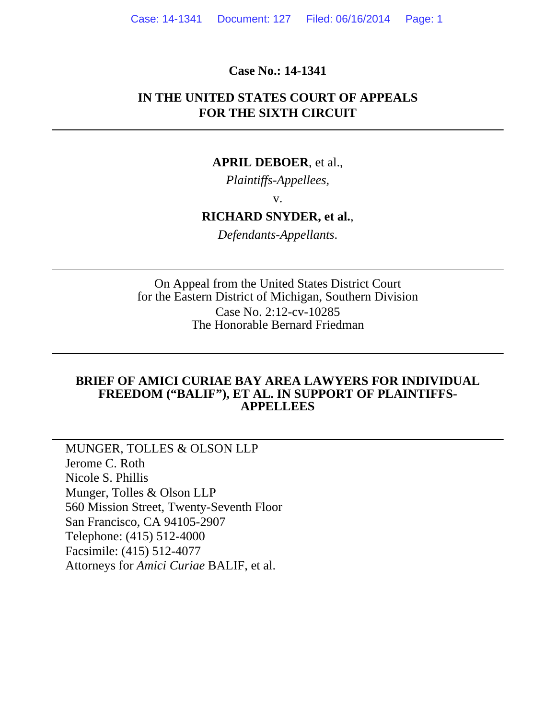#### **Case No.: 14-1341**

### **IN THE UNITED STATES COURT OF APPEALS FOR THE SIXTH CIRCUIT**

#### **APRIL DEBOER**, et al.,

*Plaintiffs-Appellees,*

v.

## **RICHARD SNYDER, et al.**,

*Defendants-Appellants*.

On Appeal from the United States District Court for the Eastern District of Michigan, Southern Division Case No. 2:12-cv-10285 The Honorable Bernard Friedman

#### **BRIEF OF AMICI CURIAE BAY AREA LAWYERS FOR INDIVIDUAL FREEDOM ("BALIF"), ET AL. IN SUPPORT OF PLAINTIFFS-APPELLEES**

MUNGER, TOLLES & OLSON LLP Jerome C. Roth Nicole S. Phillis Munger, Tolles & Olson LLP 560 Mission Street, Twenty-Seventh Floor San Francisco, CA 94105-2907 Telephone: (415) 512-4000 Facsimile: (415) 512-4077 Attorneys for *Amici Curiae* BALIF, et al.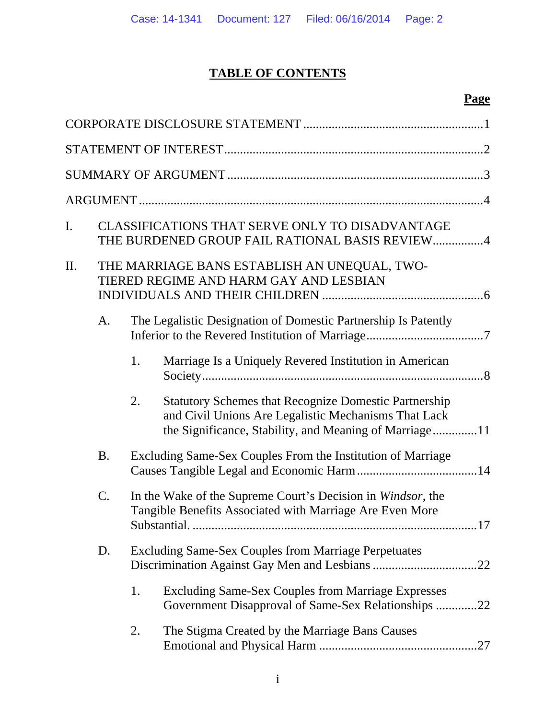# **TABLE OF CONTENTS**

# **Page**

| I. |           |    | CLASSIFICATIONS THAT SERVE ONLY TO DISADVANTAGE<br>THE BURDENED GROUP FAIL RATIONAL BASIS REVIEW4                                                                              |
|----|-----------|----|--------------------------------------------------------------------------------------------------------------------------------------------------------------------------------|
| П. |           |    | THE MARRIAGE BANS ESTABLISH AN UNEQUAL, TWO-<br>TIERED REGIME AND HARM GAY AND LESBIAN                                                                                         |
|    | A.        |    | The Legalistic Designation of Domestic Partnership Is Patently                                                                                                                 |
|    |           | 1. | Marriage Is a Uniquely Revered Institution in American                                                                                                                         |
|    |           | 2. | <b>Statutory Schemes that Recognize Domestic Partnership</b><br>and Civil Unions Are Legalistic Mechanisms That Lack<br>the Significance, Stability, and Meaning of Marriage11 |
|    | <b>B.</b> |    | Excluding Same-Sex Couples From the Institution of Marriage                                                                                                                    |
|    | C.        |    | In the Wake of the Supreme Court's Decision in Windsor, the<br>Tangible Benefits Associated with Marriage Are Even More                                                        |
|    | D.        |    | <b>Excluding Same-Sex Couples from Marriage Perpetuates</b>                                                                                                                    |
|    |           | 1. | <b>Excluding Same-Sex Couples from Marriage Expresses</b><br>Government Disapproval of Same-Sex Relationships 22                                                               |
|    |           | 2. | The Stigma Created by the Marriage Bans Causes                                                                                                                                 |
|    |           |    |                                                                                                                                                                                |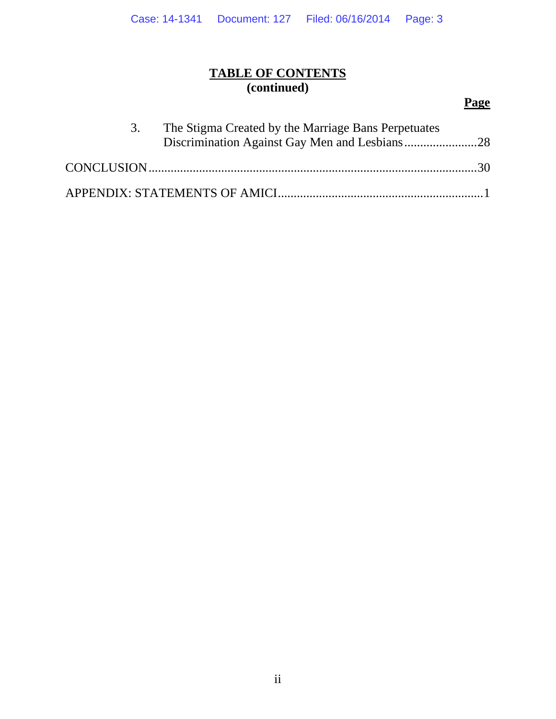## **TABLE OF CONTENTS (continued)**

# **Page**

| 3. | The Stigma Created by the Marriage Bans Perpetuates |  |
|----|-----------------------------------------------------|--|
|    |                                                     |  |
|    |                                                     |  |
|    |                                                     |  |
|    |                                                     |  |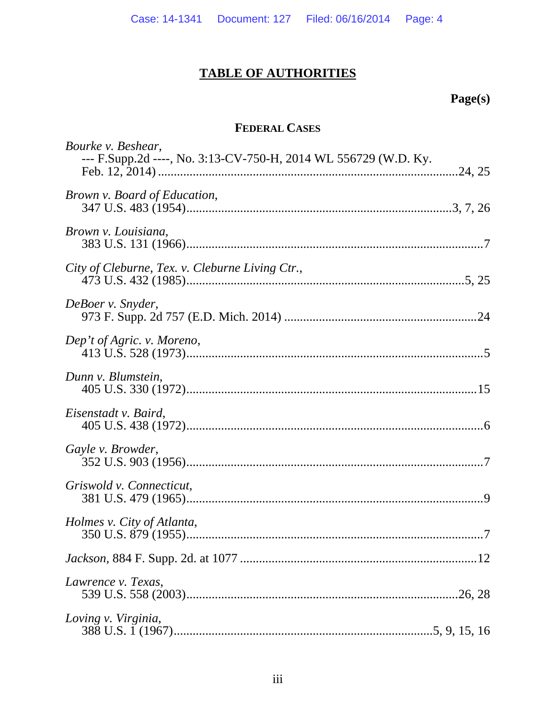# **TABLE OF AUTHORITIES**

# Page(s)

# FEDERAL CASES

| Bourke v. Beshear,<br>--- F.Supp.2d ----, No. 3:13-CV-750-H, 2014 WL 556729 (W.D. Ky. |
|---------------------------------------------------------------------------------------|
|                                                                                       |
| Brown v. Board of Education,                                                          |
| Brown v. Louisiana,                                                                   |
| City of Cleburne, Tex. v. Cleburne Living Ctr.,                                       |
| DeBoer v. Snyder,                                                                     |
| Dep't of Agric. v. Moreno,                                                            |
| Dunn v. Blumstein,                                                                    |
| Eisenstadt v. Baird,                                                                  |
| Gayle v. Browder,                                                                     |
| Griswold v. Connecticut,                                                              |
| Holmes v. City of Atlanta,                                                            |
|                                                                                       |
| Lawrence v. Texas,                                                                    |
| Loving v. Virginia,                                                                   |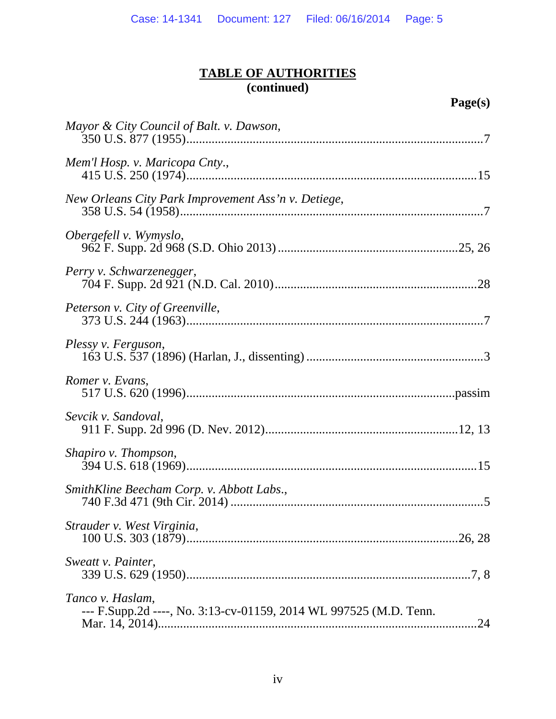| Mayor & City Council of Balt. v. Dawson,                                              |
|---------------------------------------------------------------------------------------|
| Mem'l Hosp. v. Maricopa Cnty.,                                                        |
| New Orleans City Park Improvement Ass'n v. Detiege,                                   |
| Obergefell v. Wymyslo,                                                                |
| Perry v. Schwarzenegger,                                                              |
| Peterson v. City of Greenville,                                                       |
| Plessy v. Ferguson,                                                                   |
| Romer v. Evans,                                                                       |
| Sevcik v. Sandoval,                                                                   |
| Shapiro v. Thompson,                                                                  |
| SmithKline Beecham Corp. v. Abbott Labs.,                                             |
| Strauder v. West Virginia,                                                            |
| Sweatt v. Painter,                                                                    |
| Tanco v. Haslam,<br>--- F.Supp.2d ----, No. 3:13-cv-01159, 2014 WL 997525 (M.D. Tenn. |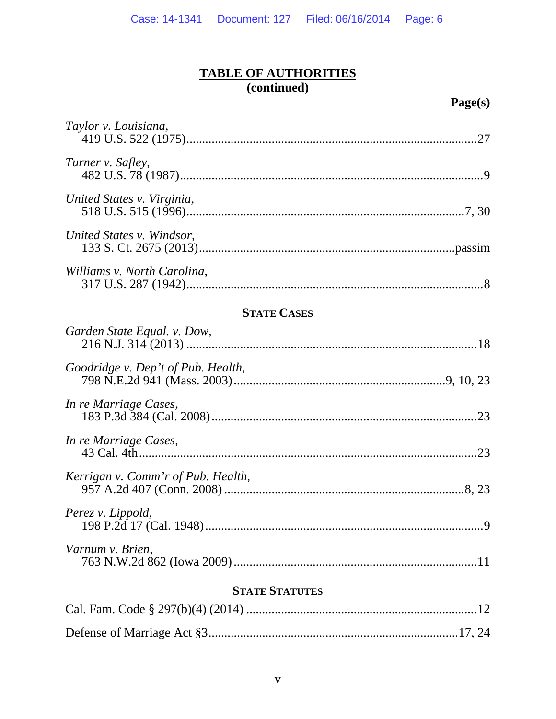| Taylor v. Louisiana,               | .27 |
|------------------------------------|-----|
| Turner v. Safley,                  |     |
| United States v. Virginia,         |     |
| United States v. Windsor,          |     |
| Williams v. North Carolina,        |     |
| <b>STATE CASES</b>                 |     |
| Garden State Equal. v. Dow,        |     |
| Goodridge v. Dep't of Pub. Health, |     |

| In re Marriage Cases,              |  |
|------------------------------------|--|
| In re Marriage Cases,              |  |
| Kerrigan v. Comm'r of Pub. Health, |  |
| Perez v. Lippold,                  |  |

| Varnum v. Brien, |  |
|------------------|--|
|                  |  |

# **STATE STATUTES**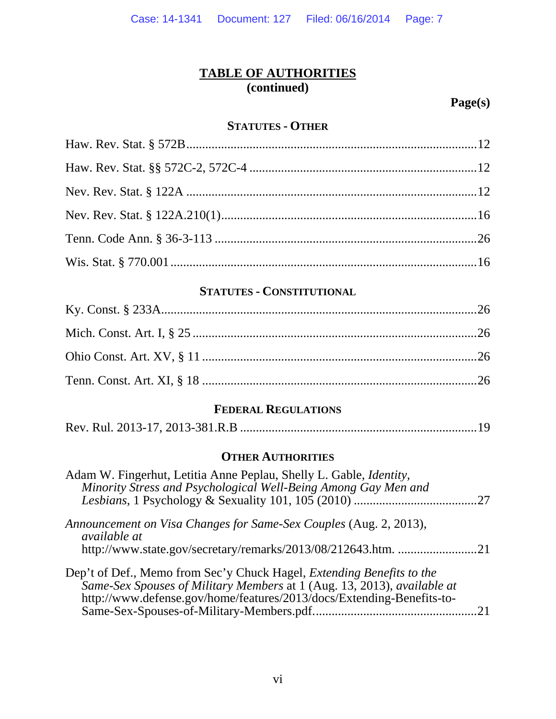**Page(s)** 

### **STATUTES - OTHER**

## **STATUTES - CONSTITUTIONAL**

# **FEDERAL REGULATIONS**

|--|--|

## **OTHER AUTHORITIES**

| Adam W. Fingerhut, Letitia Anne Peplau, Shelly L. Gable, <i>Identity</i> ,<br>Minority Stress and Psychological Well-Being Among Gay Men and                                                                                     |  |
|----------------------------------------------------------------------------------------------------------------------------------------------------------------------------------------------------------------------------------|--|
|                                                                                                                                                                                                                                  |  |
| Announcement on Visa Changes for Same-Sex Couples (Aug. 2, 2013),<br><i>available at</i>                                                                                                                                         |  |
| http://www.state.gov/secretary/remarks/2013/08/212643.htm. 21                                                                                                                                                                    |  |
| Dep't of Def., Memo from Sec'y Chuck Hagel, <i>Extending Benefits to the</i><br>Same-Sex Spouses of Military Members at 1 (Aug. 13, 2013), available at<br>http://www.defense.gov/home/features/2013/docs/Extending-Benefits-to- |  |
|                                                                                                                                                                                                                                  |  |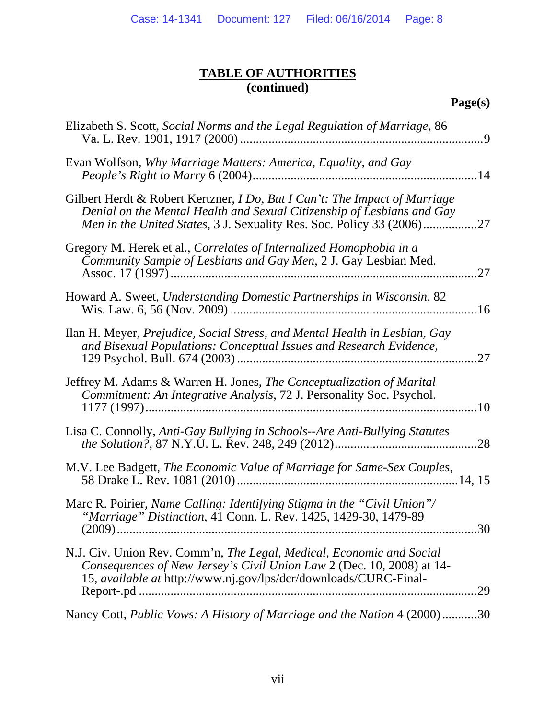| Elizabeth S. Scott, Social Norms and the Legal Regulation of Marriage, 86<br>$\cdot$ 9                                                                                                                                               |
|--------------------------------------------------------------------------------------------------------------------------------------------------------------------------------------------------------------------------------------|
| Evan Wolfson, Why Marriage Matters: America, Equality, and Gay                                                                                                                                                                       |
| Gilbert Herdt & Robert Kertzner, <i>I Do, But I Can't: The Impact of Marriage</i><br>Denial on the Mental Health and Sexual Citizenship of Lesbians and Gay<br>Men in the United States, 3 J. Sexuality Res. Soc. Policy 33 (2006)27 |
| Gregory M. Herek et al., Correlates of Internalized Homophobia in a<br>Community Sample of Lesbians and Gay Men, 2 J. Gay Lesbian Med.<br>.27                                                                                        |
| Howard A. Sweet, Understanding Domestic Partnerships in Wisconsin, 82                                                                                                                                                                |
| Ilan H. Meyer, Prejudice, Social Stress, and Mental Health in Lesbian, Gay<br>and Bisexual Populations: Conceptual Issues and Research Evidence,<br>27                                                                               |
| Jeffrey M. Adams & Warren H. Jones, <i>The Conceptualization of Marital</i><br>Commitment: An Integrative Analysis, 72 J. Personality Soc. Psychol.<br>.10                                                                           |
| Lisa C. Connolly, Anti-Gay Bullying in Schools--Are Anti-Bullying Statutes<br>.28                                                                                                                                                    |
| M.V. Lee Badgett, The Economic Value of Marriage for Same-Sex Couples,                                                                                                                                                               |
| Marc R. Poirier, Name Calling: Identifying Stigma in the "Civil Union"/<br>"Marriage" Distinction, 41 Conn. L. Rev. 1425, 1429-30, 1479-89                                                                                           |
| N.J. Civ. Union Rev. Comm'n, The Legal, Medical, Economic and Social<br>Consequences of New Jersey's Civil Union Law 2 (Dec. 10, 2008) at 14-<br>15, available at http://www.nj.gov/lps/dcr/downloads/CURC-Final-<br>.29             |
| Nancy Cott, Public Vows: A History of Marriage and the Nation 4 (2000)30                                                                                                                                                             |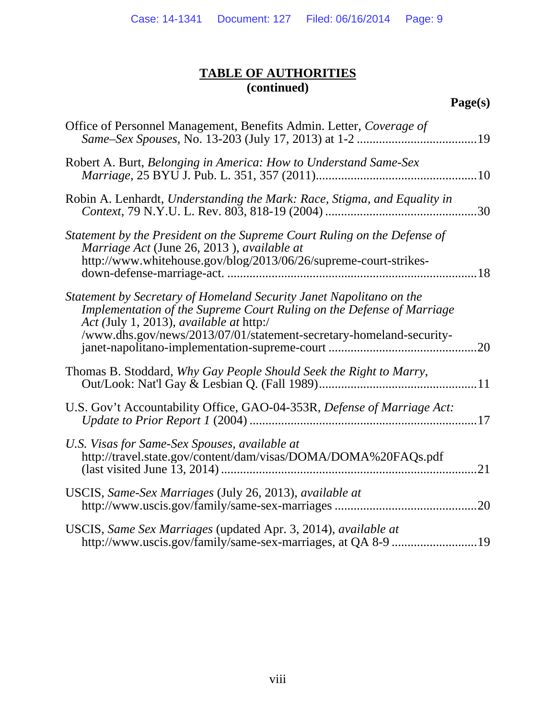| Office of Personnel Management, Benefits Admin. Letter, Coverage of                                                                                                                                                                                            |
|----------------------------------------------------------------------------------------------------------------------------------------------------------------------------------------------------------------------------------------------------------------|
| Robert A. Burt, Belonging in America: How to Understand Same-Sex                                                                                                                                                                                               |
| Robin A. Lenhardt, Understanding the Mark: Race, Stigma, and Equality in                                                                                                                                                                                       |
| Statement by the President on the Supreme Court Ruling on the Defense of<br>Marriage Act (June 26, 2013), available at<br>http://www.whitehouse.gov/blog/2013/06/26/supreme-court-strikes-                                                                     |
| Statement by Secretary of Homeland Security Janet Napolitano on the<br>Implementation of the Supreme Court Ruling on the Defense of Marriage<br>Act (July 1, 2013), available at http:/<br>/www.dhs.gov/news/2013/07/01/statement-secretary-homeland-security- |
| Thomas B. Stoddard, Why Gay People Should Seek the Right to Marry,                                                                                                                                                                                             |
| U.S. Gov't Accountability Office, GAO-04-353R, Defense of Marriage Act:                                                                                                                                                                                        |
| U.S. Visas for Same-Sex Spouses, available at<br>http://travel.state.gov/content/dam/visas/DOMA/DOMA%20FAQs.pdf                                                                                                                                                |
| USCIS, Same-Sex Marriages (July 26, 2013), available at<br>.20                                                                                                                                                                                                 |
| USCIS, Same Sex Marriages (updated Apr. 3, 2014), available at                                                                                                                                                                                                 |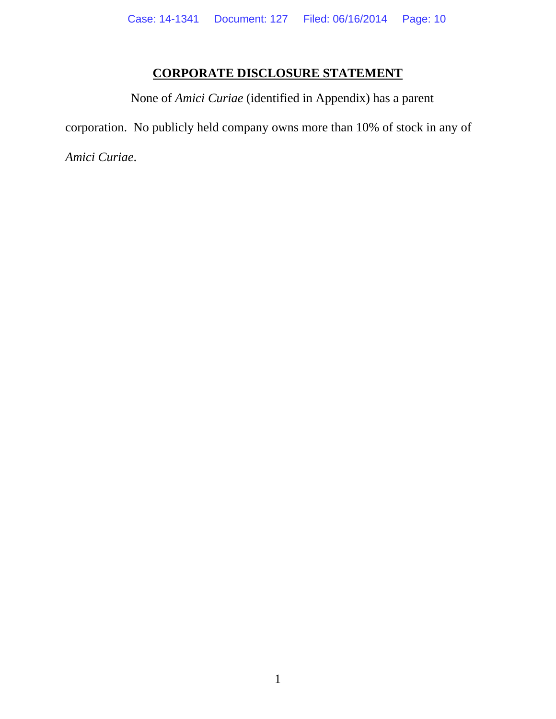# **CORPORATE DISCLOSURE STATEMENT**

None of *Amici Curiae* (identified in Appendix) has a parent corporation. No publicly held company owns more than 10% of stock in any of *Amici Curiae*.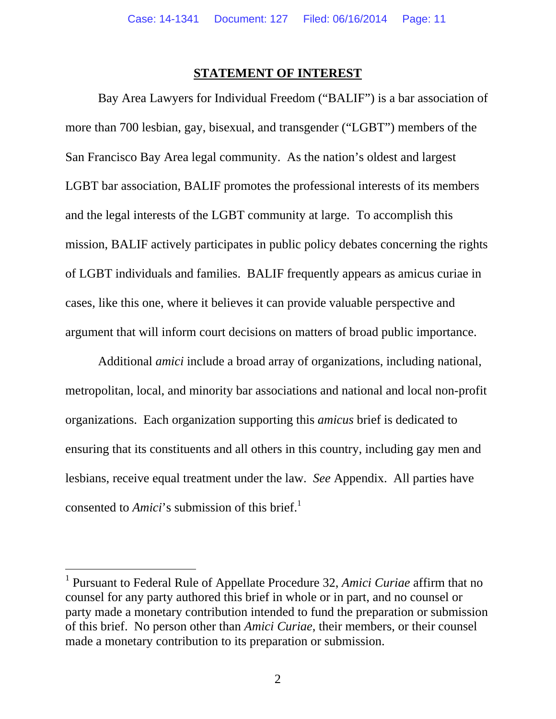### **STATEMENT OF INTEREST**

Bay Area Lawyers for Individual Freedom ("BALIF") is a bar association of more than 700 lesbian, gay, bisexual, and transgender ("LGBT") members of the San Francisco Bay Area legal community. As the nation's oldest and largest LGBT bar association, BALIF promotes the professional interests of its members and the legal interests of the LGBT community at large. To accomplish this mission, BALIF actively participates in public policy debates concerning the rights of LGBT individuals and families. BALIF frequently appears as amicus curiae in cases, like this one, where it believes it can provide valuable perspective and argument that will inform court decisions on matters of broad public importance.

Additional *amici* include a broad array of organizations, including national, metropolitan, local, and minority bar associations and national and local non-profit organizations. Each organization supporting this *amicus* brief is dedicated to ensuring that its constituents and all others in this country, including gay men and lesbians, receive equal treatment under the law. *See* Appendix. All parties have consented to *Amici*'s submission of this brief.<sup>1</sup>

 $\overline{a}$ 

<sup>&</sup>lt;sup>1</sup> Pursuant to Federal Rule of Appellate Procedure 32, *Amici Curiae* affirm that no counsel for any party authored this brief in whole or in part, and no counsel or party made a monetary contribution intended to fund the preparation or submission of this brief. No person other than *Amici Curiae*, their members, or their counsel made a monetary contribution to its preparation or submission.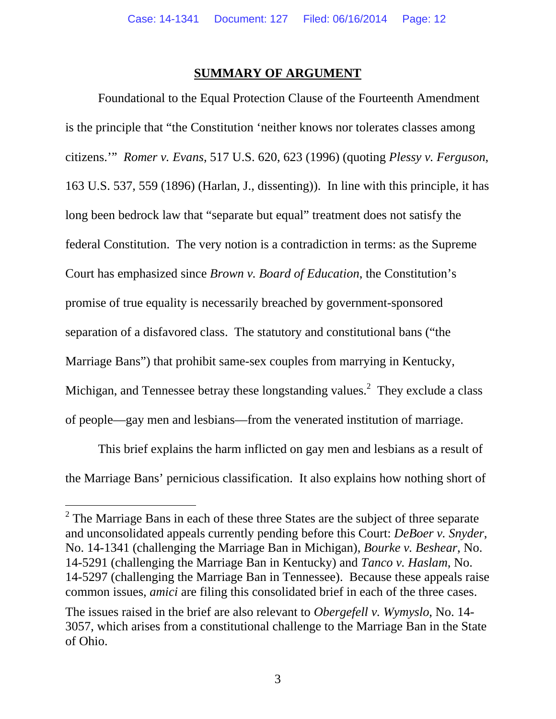### **SUMMARY OF ARGUMENT**

Foundational to the Equal Protection Clause of the Fourteenth Amendment is the principle that "the Constitution 'neither knows nor tolerates classes among citizens.'" *Romer v. Evans*, 517 U.S. 620, 623 (1996) (quoting *Plessy v. Ferguson*, 163 U.S. 537, 559 (1896) (Harlan, J., dissenting)). In line with this principle, it has long been bedrock law that "separate but equal" treatment does not satisfy the federal Constitution. The very notion is a contradiction in terms: as the Supreme Court has emphasized since *Brown v. Board of Education*, the Constitution's promise of true equality is necessarily breached by government-sponsored separation of a disfavored class. The statutory and constitutional bans ("the Marriage Bans") that prohibit same-sex couples from marrying in Kentucky, Michigan, and Tennessee betray these longstanding values.<sup>2</sup> They exclude a class of people—gay men and lesbians—from the venerated institution of marriage.

This brief explains the harm inflicted on gay men and lesbians as a result of the Marriage Bans' pernicious classification. It also explains how nothing short of

-

 $2^2$  The Marriage Bans in each of these three States are the subject of three separate and unconsolidated appeals currently pending before this Court: *DeBoer v. Snyder*, No. 14-1341 (challenging the Marriage Ban in Michigan), *Bourke v. Beshear*, No. 14-5291 (challenging the Marriage Ban in Kentucky) and *Tanco v. Haslam*, No. 14-5297 (challenging the Marriage Ban in Tennessee). Because these appeals raise common issues, *amici* are filing this consolidated brief in each of the three cases.

The issues raised in the brief are also relevant to *Obergefell v. Wymyslo*, No. 14- 3057, which arises from a constitutional challenge to the Marriage Ban in the State of Ohio.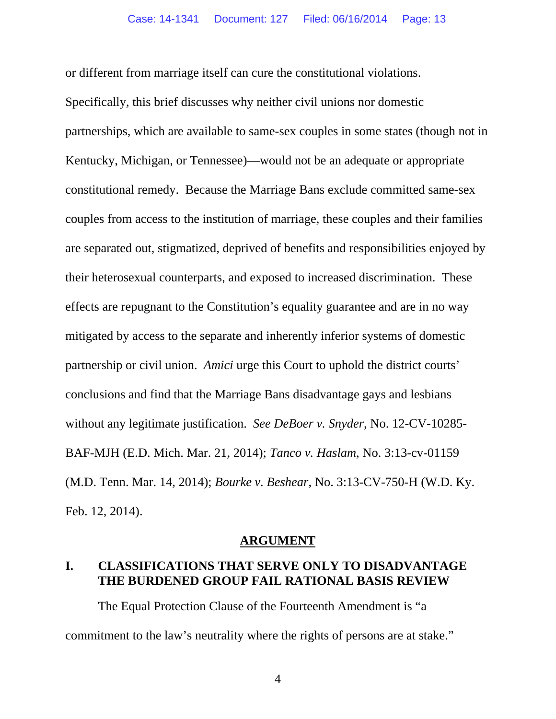or different from marriage itself can cure the constitutional violations.

Specifically, this brief discusses why neither civil unions nor domestic partnerships, which are available to same-sex couples in some states (though not in Kentucky, Michigan, or Tennessee)—would not be an adequate or appropriate constitutional remedy. Because the Marriage Bans exclude committed same-sex couples from access to the institution of marriage, these couples and their families are separated out, stigmatized, deprived of benefits and responsibilities enjoyed by their heterosexual counterparts, and exposed to increased discrimination. These effects are repugnant to the Constitution's equality guarantee and are in no way mitigated by access to the separate and inherently inferior systems of domestic partnership or civil union. *Amici* urge this Court to uphold the district courts' conclusions and find that the Marriage Bans disadvantage gays and lesbians without any legitimate justification. *See DeBoer v. Snyder*, No. 12-CV-10285- BAF-MJH (E.D. Mich. Mar. 21, 2014); *Tanco v. Haslam*, No. 3:13-cv-01159 (M.D. Tenn. Mar. 14, 2014); *Bourke v. Beshear*, No. 3:13-CV-750-H (W.D. Ky. Feb. 12, 2014).

#### **ARGUMENT**

### **I. CLASSIFICATIONS THAT SERVE ONLY TO DISADVANTAGE THE BURDENED GROUP FAIL RATIONAL BASIS REVIEW**

The Equal Protection Clause of the Fourteenth Amendment is "a commitment to the law's neutrality where the rights of persons are at stake."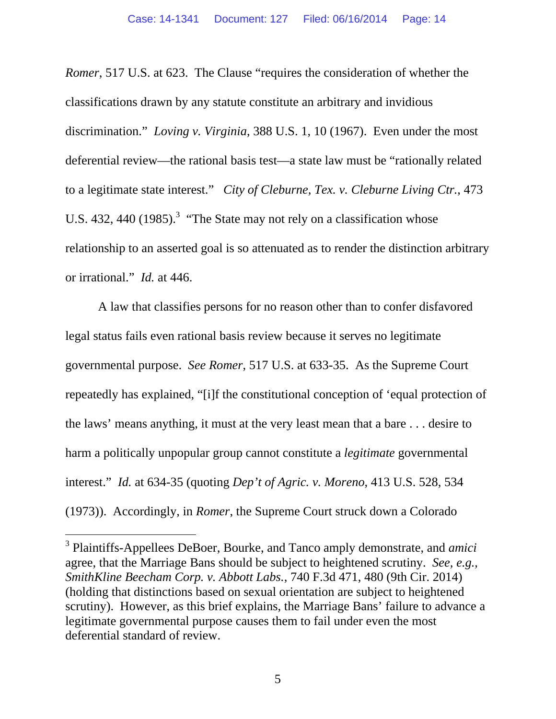*Romer*, 517 U.S. at 623. The Clause "requires the consideration of whether the classifications drawn by any statute constitute an arbitrary and invidious discrimination." *Loving v. Virginia*, 388 U.S. 1, 10 (1967).Even under the most deferential review—the rational basis test—a state law must be "rationally related to a legitimate state interest." *City of Cleburne, Tex. v. Cleburne Living Ctr.*, 473 U.S. 432, 440  $(1985)$ .<sup>3</sup> "The State may not rely on a classification whose relationship to an asserted goal is so attenuated as to render the distinction arbitrary or irrational." *Id.* at 446.

A law that classifies persons for no reason other than to confer disfavored legal status fails even rational basis review because it serves no legitimate governmental purpose. *See Romer*, 517 U.S. at 633-35. As the Supreme Court repeatedly has explained, "[i]f the constitutional conception of 'equal protection of the laws' means anything, it must at the very least mean that a bare . . . desire to harm a politically unpopular group cannot constitute a *legitimate* governmental interest." *Id.* at 634-35 (quoting *Dep't of Agric. v. Moreno*, 413 U.S. 528, 534 (1973)). Accordingly, in *Romer*, the Supreme Court struck down a Colorado

-

<sup>3</sup> Plaintiffs-Appellees DeBoer, Bourke, and Tanco amply demonstrate, and *amici* agree, that the Marriage Bans should be subject to heightened scrutiny. *See, e.g.*, *SmithKline Beecham Corp. v. Abbott Labs.*, 740 F.3d 471, 480 (9th Cir. 2014) (holding that distinctions based on sexual orientation are subject to heightened scrutiny).However, as this brief explains, the Marriage Bans' failure to advance a legitimate governmental purpose causes them to fail under even the most deferential standard of review.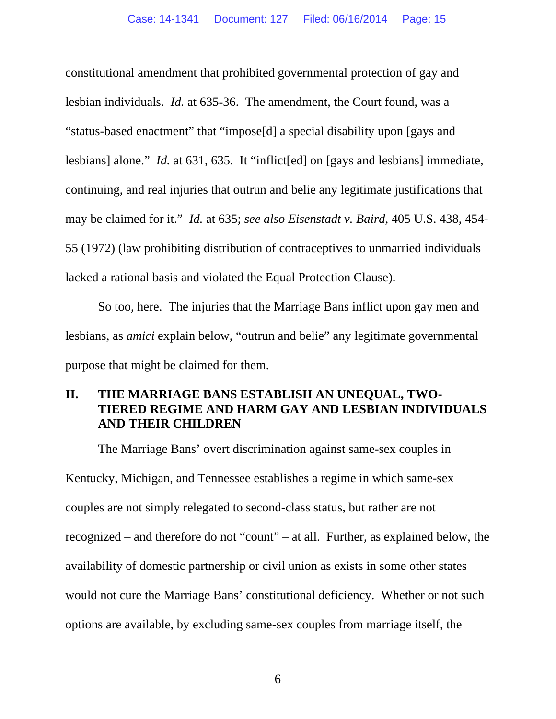constitutional amendment that prohibited governmental protection of gay and lesbian individuals. *Id.* at 635-36.The amendment, the Court found, was a "status-based enactment" that "impose[d] a special disability upon [gays and lesbians] alone." *Id.* at 631, 635. It "inflict[ed] on [gays and lesbians] immediate, continuing, and real injuries that outrun and belie any legitimate justifications that may be claimed for it." *Id.* at 635; *see also Eisenstadt v. Baird*, 405 U.S. 438, 454- 55 (1972) (law prohibiting distribution of contraceptives to unmarried individuals lacked a rational basis and violated the Equal Protection Clause).

So too, here. The injuries that the Marriage Bans inflict upon gay men and lesbians, as *amici* explain below, "outrun and belie" any legitimate governmental purpose that might be claimed for them.

## **II. THE MARRIAGE BANS ESTABLISH AN UNEQUAL, TWO-TIERED REGIME AND HARM GAY AND LESBIAN INDIVIDUALS AND THEIR CHILDREN**

The Marriage Bans' overt discrimination against same-sex couples in Kentucky, Michigan, and Tennessee establishes a regime in which same-sex couples are not simply relegated to second-class status, but rather are not recognized – and therefore do not "count" – at all. Further, as explained below, the availability of domestic partnership or civil union as exists in some other states would not cure the Marriage Bans' constitutional deficiency. Whether or not such options are available, by excluding same-sex couples from marriage itself, the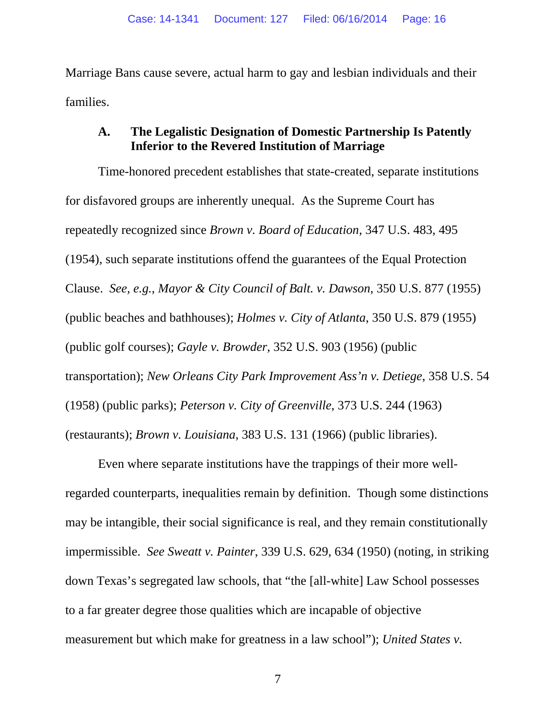Marriage Bans cause severe, actual harm to gay and lesbian individuals and their families.

## **A. The Legalistic Designation of Domestic Partnership Is Patently Inferior to the Revered Institution of Marriage**

Time-honored precedent establishes that state-created, separate institutions for disfavored groups are inherently unequal. As the Supreme Court has repeatedly recognized since *Brown v. Board of Education*, 347 U.S. 483, 495 (1954), such separate institutions offend the guarantees of the Equal Protection Clause. *See, e.g.*, *Mayor & City Council of Balt. v. Dawson*, 350 U.S. 877 (1955) (public beaches and bathhouses); *Holmes v. City of Atlanta*, 350 U.S. 879 (1955) (public golf courses); *Gayle v. Browder*, 352 U.S. 903 (1956) (public transportation); *New Orleans City Park Improvement Ass'n v. Detiege*, 358 U.S. 54 (1958) (public parks); *Peterson v. City of Greenville*, 373 U.S. 244 (1963) (restaurants); *Brown v. Louisiana*, 383 U.S. 131 (1966) (public libraries).

Even where separate institutions have the trappings of their more wellregarded counterparts, inequalities remain by definition. Though some distinctions may be intangible, their social significance is real, and they remain constitutionally impermissible. *See Sweatt v. Painter*, 339 U.S. 629, 634 (1950) (noting, in striking down Texas's segregated law schools, that "the [all-white] Law School possesses to a far greater degree those qualities which are incapable of objective measurement but which make for greatness in a law school"); *United States v.*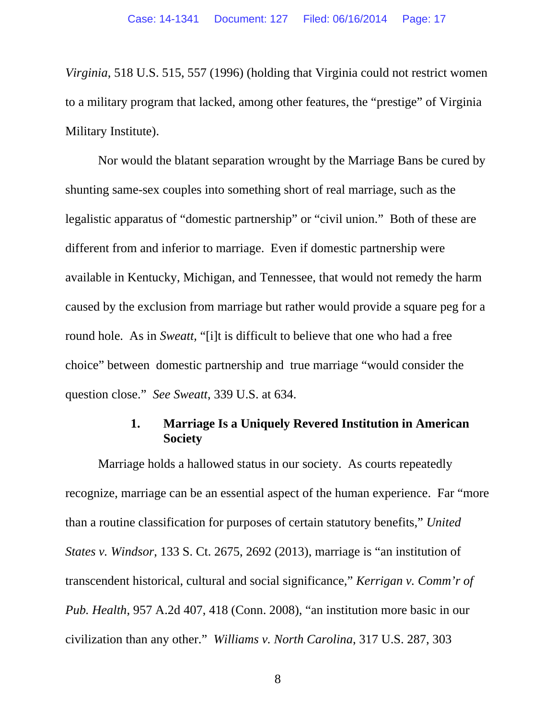*Virginia*, 518 U.S. 515, 557 (1996) (holding that Virginia could not restrict women to a military program that lacked, among other features, the "prestige" of Virginia Military Institute).

Nor would the blatant separation wrought by the Marriage Bans be cured by shunting same-sex couples into something short of real marriage, such as the legalistic apparatus of "domestic partnership" or "civil union." Both of these are different from and inferior to marriage. Even if domestic partnership were available in Kentucky, Michigan, and Tennessee, that would not remedy the harm caused by the exclusion from marriage but rather would provide a square peg for a round hole. As in *Sweatt,* "[i]t is difficult to believe that one who had a free choice" between domestic partnership and true marriage "would consider the question close." *See Sweatt*, 339 U.S. at 634.

### **1. Marriage Is a Uniquely Revered Institution in American Society**

Marriage holds a hallowed status in our society. As courts repeatedly recognize, marriage can be an essential aspect of the human experience. Far "more than a routine classification for purposes of certain statutory benefits," *United States v. Windsor*, 133 S. Ct. 2675, 2692 (2013), marriage is "an institution of transcendent historical, cultural and social significance," *Kerrigan v. Comm'r of Pub. Health*, 957 A.2d 407, 418 (Conn. 2008), "an institution more basic in our civilization than any other." *Williams v. North Carolina*, 317 U.S. 287, 303

8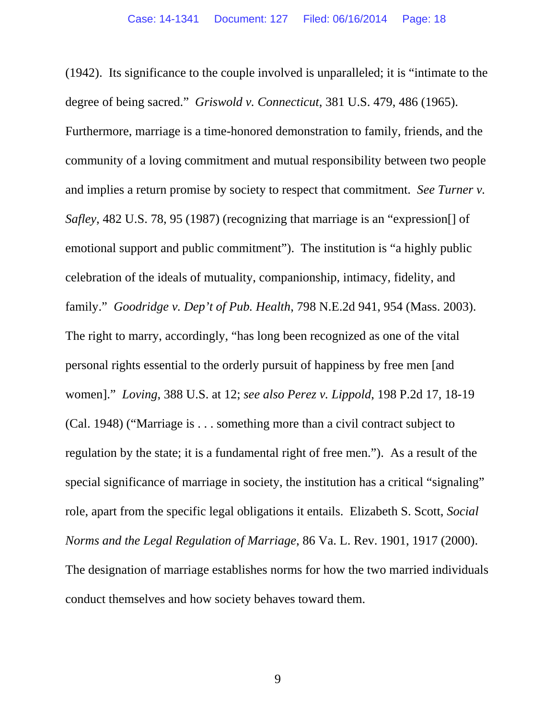(1942). Its significance to the couple involved is unparalleled; it is "intimate to the degree of being sacred." *Griswold v. Connecticut*, 381 U.S. 479, 486 (1965). Furthermore, marriage is a time-honored demonstration to family, friends, and the community of a loving commitment and mutual responsibility between two people and implies a return promise by society to respect that commitment. *See Turner v. Safley*, 482 U.S. 78, 95 (1987) (recognizing that marriage is an "expression[] of emotional support and public commitment"). The institution is "a highly public celebration of the ideals of mutuality, companionship, intimacy, fidelity, and family." *Goodridge v. Dep't of Pub. Health*, 798 N.E.2d 941, 954 (Mass. 2003). The right to marry, accordingly, "has long been recognized as one of the vital personal rights essential to the orderly pursuit of happiness by free men [and women]." *Loving*, 388 U.S. at 12; *see also Perez v. Lippold*, 198 P.2d 17, 18-19 (Cal. 1948) ("Marriage is . . . something more than a civil contract subject to regulation by the state; it is a fundamental right of free men."). As a result of the special significance of marriage in society, the institution has a critical "signaling" role, apart from the specific legal obligations it entails. Elizabeth S. Scott, *Social Norms and the Legal Regulation of Marriage*, 86 Va. L. Rev. 1901, 1917 (2000). The designation of marriage establishes norms for how the two married individuals conduct themselves and how society behaves toward them.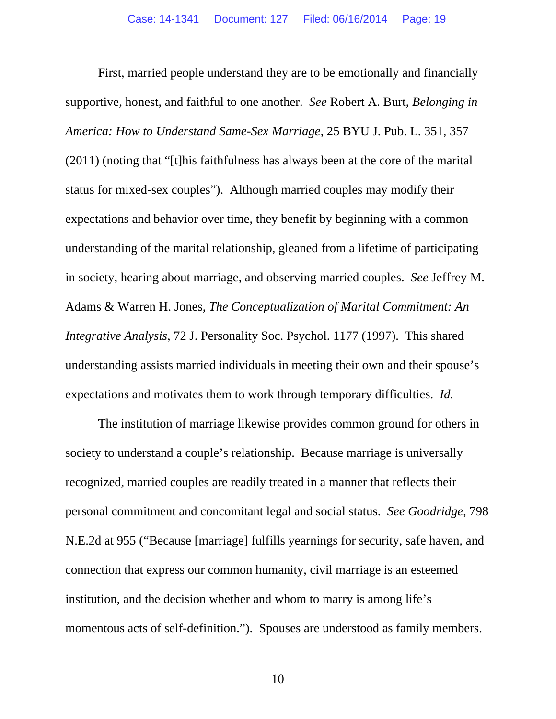First, married people understand they are to be emotionally and financially supportive, honest, and faithful to one another. *See* Robert A. Burt, *Belonging in America: How to Understand Same-Sex Marriage*, 25 BYU J. Pub. L. 351, 357 (2011) (noting that "[t]his faithfulness has always been at the core of the marital status for mixed-sex couples"). Although married couples may modify their expectations and behavior over time, they benefit by beginning with a common understanding of the marital relationship, gleaned from a lifetime of participating in society, hearing about marriage, and observing married couples. *See* Jeffrey M. Adams & Warren H. Jones, *The Conceptualization of Marital Commitment: An Integrative Analysis*, 72 J. Personality Soc. Psychol. 1177 (1997). This shared understanding assists married individuals in meeting their own and their spouse's expectations and motivates them to work through temporary difficulties. *Id.* 

The institution of marriage likewise provides common ground for others in society to understand a couple's relationship. Because marriage is universally recognized, married couples are readily treated in a manner that reflects their personal commitment and concomitant legal and social status. *See Goodridge*, 798 N.E.2d at 955 ("Because [marriage] fulfills yearnings for security, safe haven, and connection that express our common humanity, civil marriage is an esteemed institution, and the decision whether and whom to marry is among life's momentous acts of self-definition."). Spouses are understood as family members.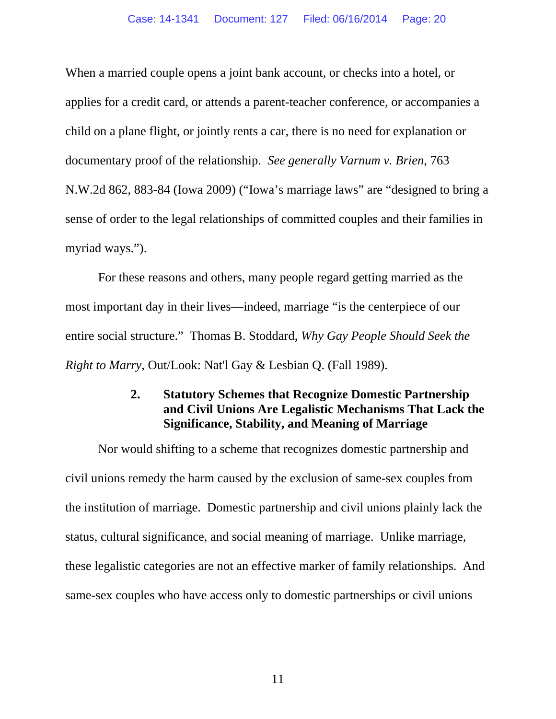When a married couple opens a joint bank account, or checks into a hotel, or applies for a credit card, or attends a parent-teacher conference, or accompanies a child on a plane flight, or jointly rents a car, there is no need for explanation or documentary proof of the relationship. *See generally Varnum v. Brien*, 763 N.W.2d 862, 883-84 (Iowa 2009) ("Iowa's marriage laws" are "designed to bring a sense of order to the legal relationships of committed couples and their families in myriad ways.").

For these reasons and others, many people regard getting married as the most important day in their lives—indeed, marriage "is the centerpiece of our entire social structure." Thomas B. Stoddard, *Why Gay People Should Seek the Right to Marry*, Out/Look: Nat'l Gay & Lesbian Q. (Fall 1989).

## **2. Statutory Schemes that Recognize Domestic Partnership and Civil Unions Are Legalistic Mechanisms That Lack the Significance, Stability, and Meaning of Marriage**

Nor would shifting to a scheme that recognizes domestic partnership and civil unions remedy the harm caused by the exclusion of same-sex couples from the institution of marriage. Domestic partnership and civil unions plainly lack the status, cultural significance, and social meaning of marriage. Unlike marriage, these legalistic categories are not an effective marker of family relationships. And same-sex couples who have access only to domestic partnerships or civil unions

11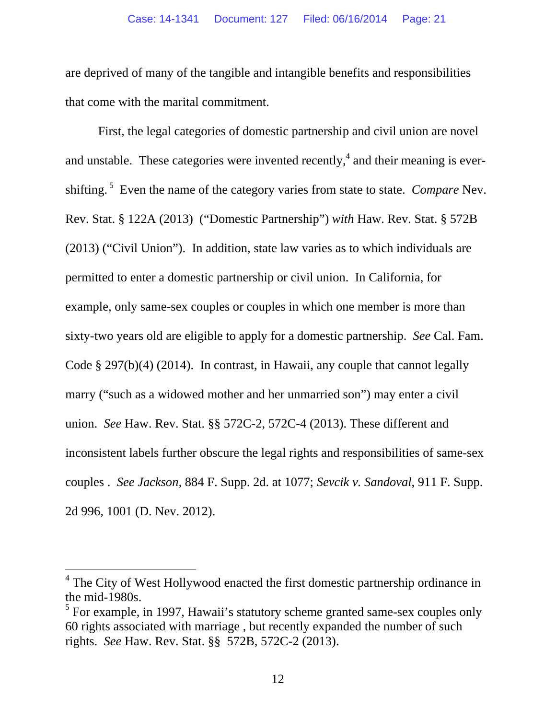are deprived of many of the tangible and intangible benefits and responsibilities that come with the marital commitment.

First, the legal categories of domestic partnership and civil union are novel and unstable. These categories were invented recently,<sup>4</sup> and their meaning is evershifting. 5 Even the name of the category varies from state to state. *Compare* Nev. Rev. Stat. § 122A (2013) ("Domestic Partnership") *with* Haw. Rev. Stat. § 572B (2013) ("Civil Union"). In addition, state law varies as to which individuals are permitted to enter a domestic partnership or civil union. In California, for example, only same-sex couples or couples in which one member is more than sixty-two years old are eligible to apply for a domestic partnership. *See* Cal. Fam. Code § 297(b)(4) (2014). In contrast, in Hawaii, any couple that cannot legally marry ("such as a widowed mother and her unmarried son") may enter a civil union. *See* Haw. Rev. Stat. §§ 572C-2, 572C-4 (2013). These different and inconsistent labels further obscure the legal rights and responsibilities of same-sex couples . *See Jackson,* 884 F. Supp. 2d. at 1077; *Sevcik v. Sandoval*, 911 F. Supp. 2d 996, 1001 (D. Nev. 2012).

 $\overline{a}$ 

<sup>&</sup>lt;sup>4</sup> The City of West Hollywood enacted the first domestic partnership ordinance in the mid-1980s.

 $<sup>5</sup>$  For example, in 1997, Hawaii's statutory scheme granted same-sex couples only</sup> 60 rights associated with marriage , but recently expanded the number of such rights. *See* Haw. Rev. Stat. §§ 572B, 572C-2 (2013).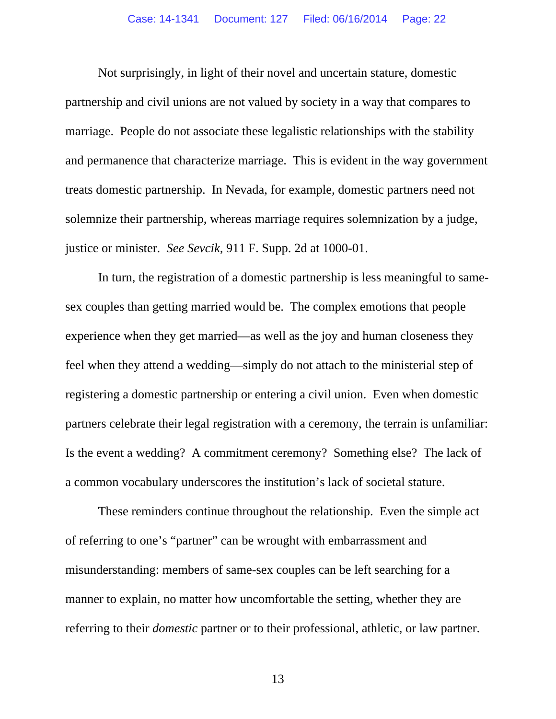Not surprisingly, in light of their novel and uncertain stature, domestic partnership and civil unions are not valued by society in a way that compares to marriage. People do not associate these legalistic relationships with the stability and permanence that characterize marriage. This is evident in the way government treats domestic partnership. In Nevada, for example, domestic partners need not solemnize their partnership, whereas marriage requires solemnization by a judge, justice or minister. *See Sevcik,* 911 F. Supp. 2d at 1000-01.

In turn, the registration of a domestic partnership is less meaningful to samesex couples than getting married would be. The complex emotions that people experience when they get married—as well as the joy and human closeness they feel when they attend a wedding—simply do not attach to the ministerial step of registering a domestic partnership or entering a civil union. Even when domestic partners celebrate their legal registration with a ceremony, the terrain is unfamiliar: Is the event a wedding? A commitment ceremony? Something else? The lack of a common vocabulary underscores the institution's lack of societal stature.

These reminders continue throughout the relationship. Even the simple act of referring to one's "partner" can be wrought with embarrassment and misunderstanding: members of same-sex couples can be left searching for a manner to explain, no matter how uncomfortable the setting, whether they are referring to their *domestic* partner or to their professional, athletic, or law partner.

13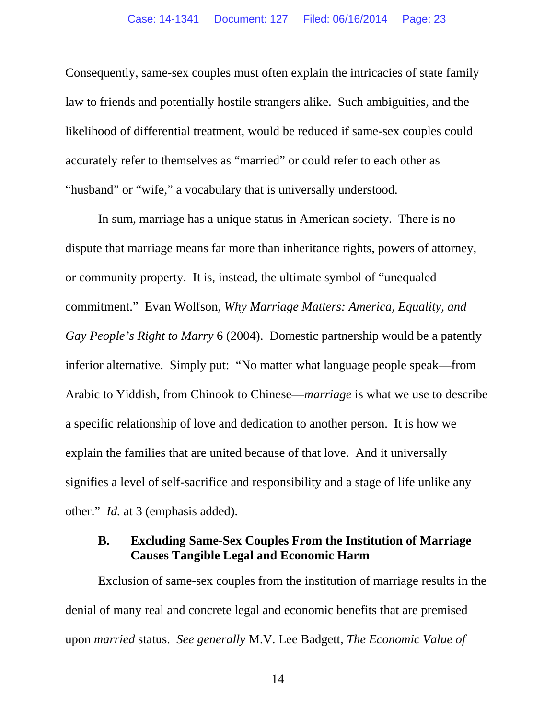Consequently, same-sex couples must often explain the intricacies of state family law to friends and potentially hostile strangers alike. Such ambiguities, and the likelihood of differential treatment, would be reduced if same-sex couples could accurately refer to themselves as "married" or could refer to each other as "husband" or "wife," a vocabulary that is universally understood.

In sum, marriage has a unique status in American society. There is no dispute that marriage means far more than inheritance rights, powers of attorney, or community property. It is, instead, the ultimate symbol of "unequaled commitment." Evan Wolfson, *Why Marriage Matters: America, Equality, and Gay People's Right to Marry* 6 (2004). Domestic partnership would be a patently inferior alternative. Simply put: "No matter what language people speak—from Arabic to Yiddish, from Chinook to Chinese—*marriage* is what we use to describe a specific relationship of love and dedication to another person. It is how we explain the families that are united because of that love. And it universally signifies a level of self-sacrifice and responsibility and a stage of life unlike any other." *Id.* at 3 (emphasis added).

### **B. Excluding Same-Sex Couples From the Institution of Marriage Causes Tangible Legal and Economic Harm**

Exclusion of same-sex couples from the institution of marriage results in the denial of many real and concrete legal and economic benefits that are premised upon *married* status. *See generally* M.V. Lee Badgett, *The Economic Value of* 

14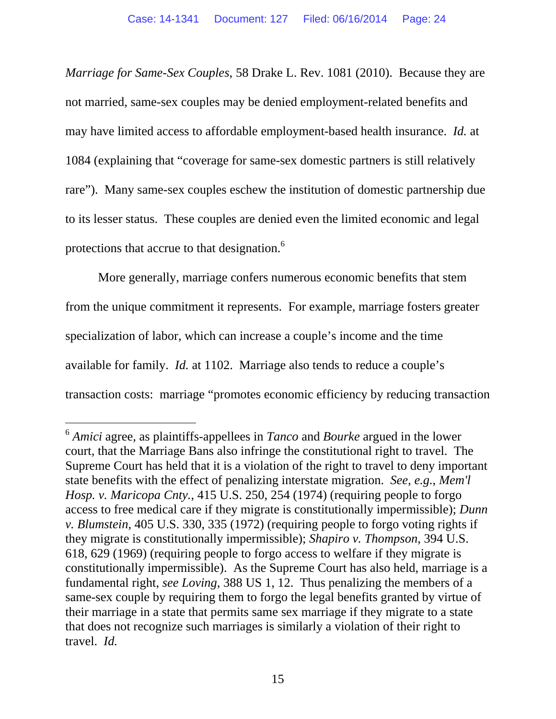*Marriage for Same-Sex Couples*, 58 Drake L. Rev. 1081 (2010). Because they are not married, same-sex couples may be denied employment-related benefits and may have limited access to affordable employment-based health insurance. *Id.* at 1084 (explaining that "coverage for same-sex domestic partners is still relatively rare"). Many same-sex couples eschew the institution of domestic partnership due to its lesser status. These couples are denied even the limited economic and legal protections that accrue to that designation.<sup>6</sup>

More generally, marriage confers numerous economic benefits that stem from the unique commitment it represents. For example, marriage fosters greater specialization of labor, which can increase a couple's income and the time available for family. *Id.* at 1102. Marriage also tends to reduce a couple's transaction costs: marriage "promotes economic efficiency by reducing transaction

 $\overline{a}$ 

<sup>6</sup> *Amici* agree, as plaintiffs-appellees in *Tanco* and *Bourke* argued in the lower court, that the Marriage Bans also infringe the constitutional right to travel. The Supreme Court has held that it is a violation of the right to travel to deny important state benefits with the effect of penalizing interstate migration. *See, e.g.*, *Mem'l Hosp. v. Maricopa Cnty.*, 415 U.S. 250, 254 (1974) (requiring people to forgo access to free medical care if they migrate is constitutionally impermissible); *Dunn v. Blumstein*, 405 U.S. 330, 335 (1972) (requiring people to forgo voting rights if they migrate is constitutionally impermissible); *Shapiro v. Thompson*, 394 U.S. 618, 629 (1969) (requiring people to forgo access to welfare if they migrate is constitutionally impermissible). As the Supreme Court has also held, marriage is a fundamental right, *see Loving*, 388 US 1, 12. Thus penalizing the members of a same-sex couple by requiring them to forgo the legal benefits granted by virtue of their marriage in a state that permits same sex marriage if they migrate to a state that does not recognize such marriages is similarly a violation of their right to travel. *Id.*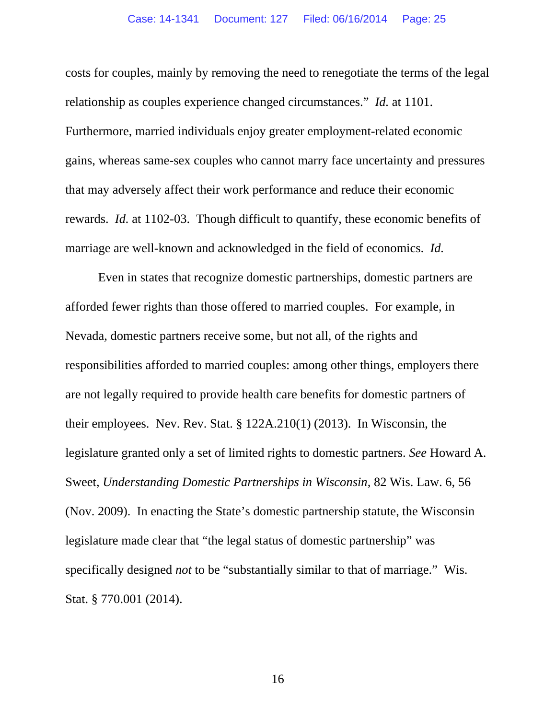costs for couples, mainly by removing the need to renegotiate the terms of the legal relationship as couples experience changed circumstances." *Id.* at 1101. Furthermore, married individuals enjoy greater employment-related economic gains, whereas same-sex couples who cannot marry face uncertainty and pressures that may adversely affect their work performance and reduce their economic rewards. *Id.* at 1102-03. Though difficult to quantify, these economic benefits of marriage are well-known and acknowledged in the field of economics. *Id.*

Even in states that recognize domestic partnerships, domestic partners are afforded fewer rights than those offered to married couples. For example, in Nevada, domestic partners receive some, but not all, of the rights and responsibilities afforded to married couples: among other things, employers there are not legally required to provide health care benefits for domestic partners of their employees. Nev. Rev. Stat. § 122A.210(1) (2013). In Wisconsin, the legislature granted only a set of limited rights to domestic partners. *See* Howard A. Sweet, *Understanding Domestic Partnerships in Wisconsin*, 82 Wis. Law. 6, 56 (Nov. 2009). In enacting the State's domestic partnership statute, the Wisconsin legislature made clear that "the legal status of domestic partnership" was specifically designed *not* to be "substantially similar to that of marriage." Wis. Stat. § 770.001 (2014).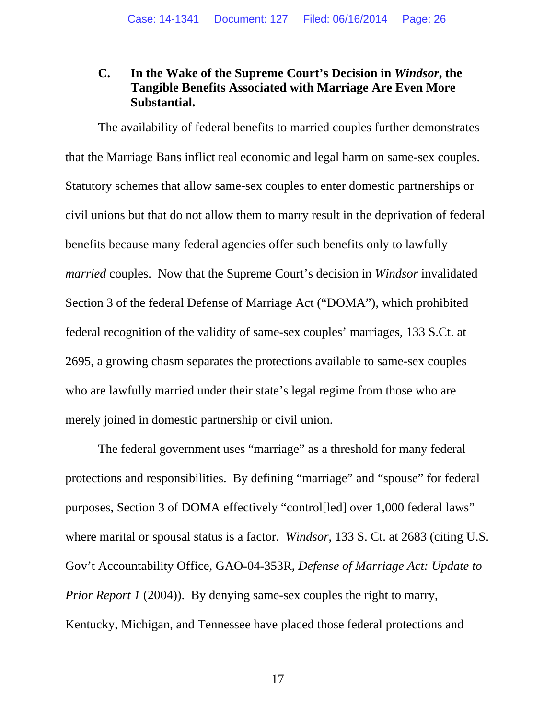## **C. In the Wake of the Supreme Court's Decision in** *Windsor***, the Tangible Benefits Associated with Marriage Are Even More Substantial.**

The availability of federal benefits to married couples further demonstrates that the Marriage Bans inflict real economic and legal harm on same-sex couples. Statutory schemes that allow same-sex couples to enter domestic partnerships or civil unions but that do not allow them to marry result in the deprivation of federal benefits because many federal agencies offer such benefits only to lawfully *married* couples. Now that the Supreme Court's decision in *Windsor* invalidated Section 3 of the federal Defense of Marriage Act ("DOMA"), which prohibited federal recognition of the validity of same-sex couples' marriages, 133 S.Ct. at 2695, a growing chasm separates the protections available to same-sex couples who are lawfully married under their state's legal regime from those who are merely joined in domestic partnership or civil union.

The federal government uses "marriage" as a threshold for many federal protections and responsibilities. By defining "marriage" and "spouse" for federal purposes, Section 3 of DOMA effectively "control[led] over 1,000 federal laws" where marital or spousal status is a factor. *Windsor*, 133 S. Ct. at 2683 (citing U.S. Gov't Accountability Office, GAO-04-353R, *Defense of Marriage Act: Update to Prior Report 1* (2004)). By denying same-sex couples the right to marry, Kentucky, Michigan, and Tennessee have placed those federal protections and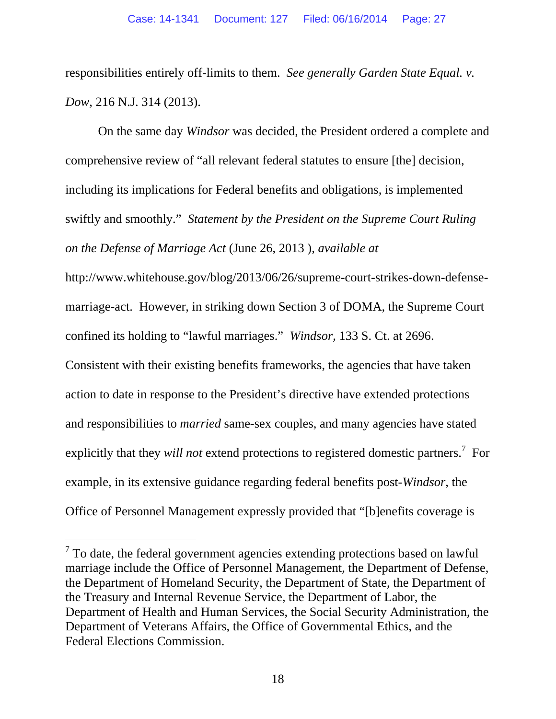responsibilities entirely off-limits to them. *See generally Garden State Equal. v. Dow*, 216 N.J. 314 (2013).

On the same day *Windsor* was decided, the President ordered a complete and comprehensive review of "all relevant federal statutes to ensure [the] decision, including its implications for Federal benefits and obligations, is implemented swiftly and smoothly." *Statement by the President on the Supreme Court Ruling on the Defense of Marriage Act* (June 26, 2013 )*, available at* 

http://www.whitehouse.gov/blog/2013/06/26/supreme-court-strikes-down-defensemarriage-act. However, in striking down Section 3 of DOMA, the Supreme Court confined its holding to "lawful marriages." *Windsor,* 133 S. Ct. at 2696.

Consistent with their existing benefits frameworks, the agencies that have taken action to date in response to the President's directive have extended protections and responsibilities to *married* same-sex couples, and many agencies have stated explicitly that they *will not* extend protections to registered domestic partners.<sup>7</sup> For example, in its extensive guidance regarding federal benefits post-*Windsor*, the Office of Personnel Management expressly provided that "[b]enefits coverage is

-

 $7$  To date, the federal government agencies extending protections based on lawful marriage include the Office of Personnel Management, the Department of Defense, the Department of Homeland Security, the Department of State, the Department of the Treasury and Internal Revenue Service, the Department of Labor, the Department of Health and Human Services, the Social Security Administration, the Department of Veterans Affairs, the Office of Governmental Ethics, and the Federal Elections Commission.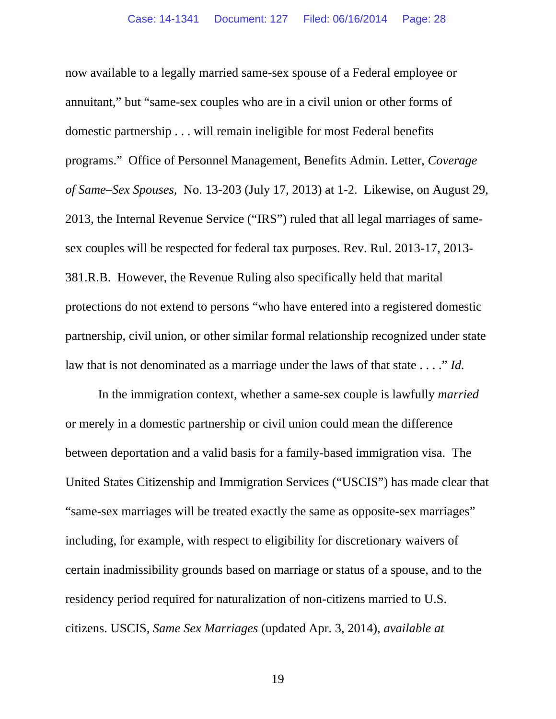now available to a legally married same-sex spouse of a Federal employee or annuitant," but "same-sex couples who are in a civil union or other forms of domestic partnership . . . will remain ineligible for most Federal benefits programs." Office of Personnel Management, Benefits Admin. Letter, *Coverage of Same–Sex Spouses,* No. 13-203 (July 17, 2013) at 1-2. Likewise, on August 29, 2013, the Internal Revenue Service ("IRS") ruled that all legal marriages of samesex couples will be respected for federal tax purposes. Rev. Rul. 2013-17, 2013- 381.R.B. However, the Revenue Ruling also specifically held that marital protections do not extend to persons "who have entered into a registered domestic partnership, civil union, or other similar formal relationship recognized under state law that is not denominated as a marriage under the laws of that state . . . ." *Id.* 

In the immigration context, whether a same-sex couple is lawfully *married*  or merely in a domestic partnership or civil union could mean the difference between deportation and a valid basis for a family-based immigration visa. The United States Citizenship and Immigration Services ("USCIS") has made clear that "same-sex marriages will be treated exactly the same as opposite-sex marriages" including, for example, with respect to eligibility for discretionary waivers of certain inadmissibility grounds based on marriage or status of a spouse, and to the residency period required for naturalization of non-citizens married to U.S. citizens. USCIS, *Same Sex Marriages* (updated Apr. 3, 2014), *available at* 

19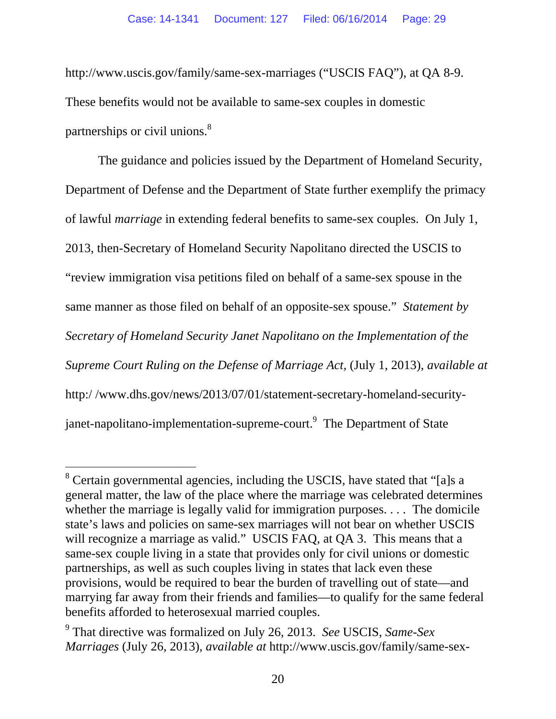http://www.uscis.gov/family/same-sex-marriages ("USCIS FAQ"), at QA 8-9. These benefits would not be available to same-sex couples in domestic partnerships or civil unions.<sup>8</sup>

The guidance and policies issued by the Department of Homeland Security, Department of Defense and the Department of State further exemplify the primacy of lawful *marriage* in extending federal benefits to same-sex couples. On July 1, 2013, then-Secretary of Homeland Security Napolitano directed the USCIS to "review immigration visa petitions filed on behalf of a same-sex spouse in the same manner as those filed on behalf of an opposite-sex spouse." *Statement by Secretary of Homeland Security Janet Napolitano on the Implementation of the Supreme Court Ruling on the Defense of Marriage Act,* (July 1, 2013), *available at* http:/ /www.dhs.gov/news/2013/07/01/statement-secretary-homeland-securityjanet-napolitano-implementation-supreme-court.<sup>9</sup> The Department of State

-

<sup>&</sup>lt;sup>8</sup> Certain governmental agencies, including the USCIS, have stated that "[a]s a general matter, the law of the place where the marriage was celebrated determines whether the marriage is legally valid for immigration purposes. . . . The domicile state's laws and policies on same-sex marriages will not bear on whether USCIS will recognize a marriage as valid." USCIS FAQ, at QA 3. This means that a same-sex couple living in a state that provides only for civil unions or domestic partnerships, as well as such couples living in states that lack even these provisions, would be required to bear the burden of travelling out of state—and marrying far away from their friends and families—to qualify for the same federal benefits afforded to heterosexual married couples.

<sup>9</sup> That directive was formalized on July 26, 2013. *See* USCIS, *Same-Sex Marriages* (July 26, 2013), *available at* http://www.uscis.gov/family/same-sex-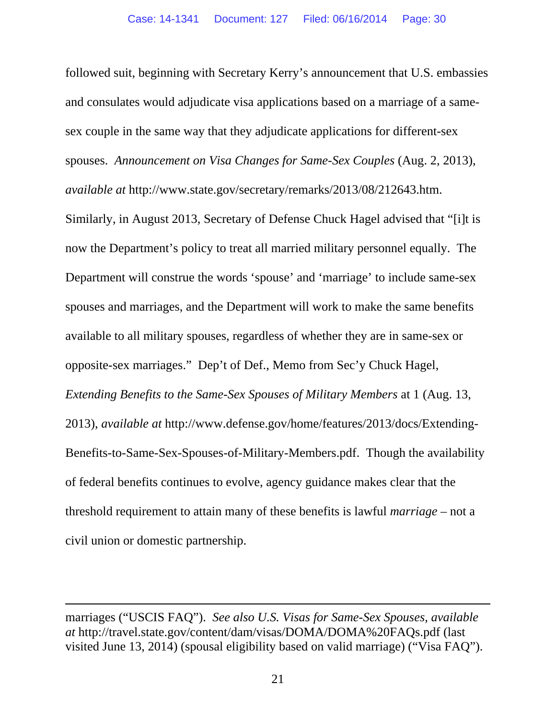followed suit, beginning with Secretary Kerry's announcement that U.S. embassies and consulates would adjudicate visa applications based on a marriage of a samesex couple in the same way that they adjudicate applications for different-sex spouses. *Announcement on Visa Changes for Same-Sex Couples* (Aug. 2, 2013), *available at* http://www.state.gov/secretary/remarks/2013/08/212643.htm. Similarly, in August 2013, Secretary of Defense Chuck Hagel advised that "[i]t is now the Department's policy to treat all married military personnel equally. The Department will construe the words 'spouse' and 'marriage' to include same-sex spouses and marriages, and the Department will work to make the same benefits available to all military spouses, regardless of whether they are in same-sex or opposite-sex marriages." Dep't of Def., Memo from Sec'y Chuck Hagel, *Extending Benefits to the Same-Sex Spouses of Military Members* at 1 (Aug. 13, 2013), *available at* http://www.defense.gov/home/features/2013/docs/Extending-Benefits-to-Same-Sex-Spouses-of-Military-Members.pdf. Though the availability of federal benefits continues to evolve, agency guidance makes clear that the threshold requirement to attain many of these benefits is lawful *marriage* – not a civil union or domestic partnership.

 $\overline{a}$ 

marriages ("USCIS FAQ"). *See also U.S. Visas for Same-Sex Spouses, available at* http://travel.state.gov/content/dam/visas/DOMA/DOMA%20FAQs.pdf (last visited June 13, 2014) (spousal eligibility based on valid marriage) ("Visa FAQ").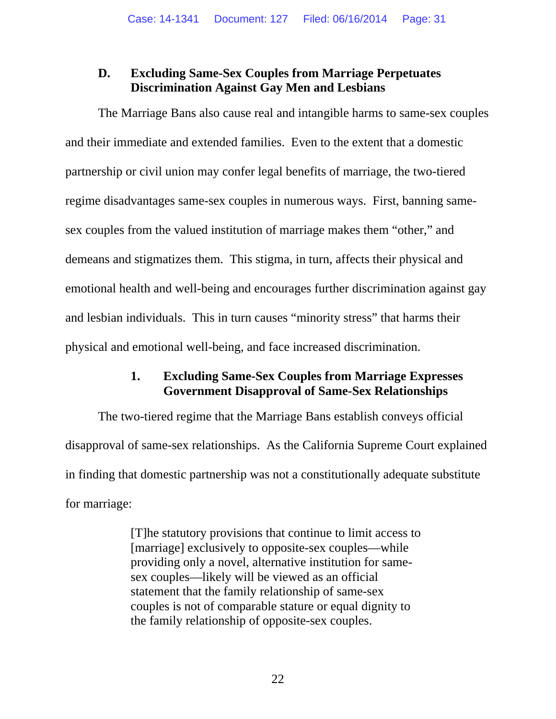## **D. Excluding Same-Sex Couples from Marriage Perpetuates Discrimination Against Gay Men and Lesbians**

The Marriage Bans also cause real and intangible harms to same-sex couples and their immediate and extended families. Even to the extent that a domestic partnership or civil union may confer legal benefits of marriage, the two-tiered regime disadvantages same-sex couples in numerous ways. First, banning samesex couples from the valued institution of marriage makes them "other," and demeans and stigmatizes them. This stigma, in turn, affects their physical and emotional health and well-being and encourages further discrimination against gay and lesbian individuals. This in turn causes "minority stress" that harms their physical and emotional well-being, and face increased discrimination.

## **1. Excluding Same-Sex Couples from Marriage Expresses Government Disapproval of Same-Sex Relationships**

The two-tiered regime that the Marriage Bans establish conveys official disapproval of same-sex relationships. As the California Supreme Court explained in finding that domestic partnership was not a constitutionally adequate substitute for marriage:

> [T]he statutory provisions that continue to limit access to [marriage] exclusively to opposite-sex couples—while providing only a novel, alternative institution for samesex couples—likely will be viewed as an official statement that the family relationship of same-sex couples is not of comparable stature or equal dignity to the family relationship of opposite-sex couples.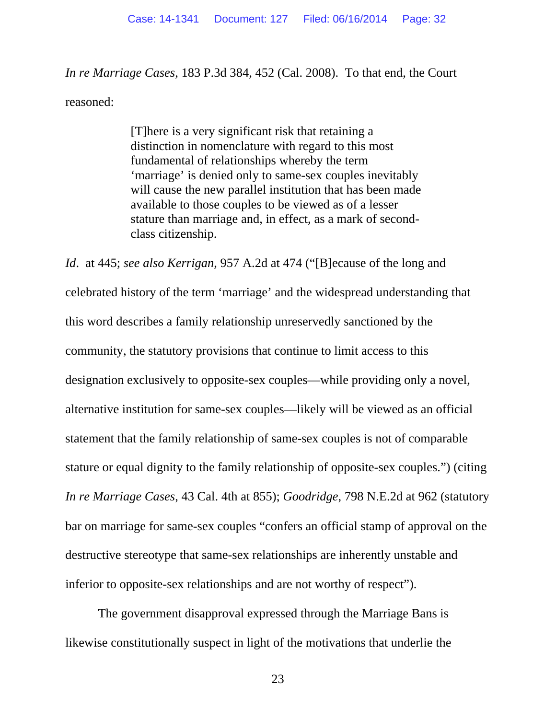*In re Marriage Cases*, 183 P.3d 384, 452 (Cal. 2008). To that end, the Court reasoned:

> [T]here is a very significant risk that retaining a distinction in nomenclature with regard to this most fundamental of relationships whereby the term 'marriage' is denied only to same-sex couples inevitably will cause the new parallel institution that has been made available to those couples to be viewed as of a lesser stature than marriage and, in effect, as a mark of secondclass citizenship.

*Id*. at 445; *see also Kerrigan*, 957 A.2d at 474 ("[B]ecause of the long and celebrated history of the term 'marriage' and the widespread understanding that this word describes a family relationship unreservedly sanctioned by the community, the statutory provisions that continue to limit access to this designation exclusively to opposite-sex couples—while providing only a novel, alternative institution for same-sex couples—likely will be viewed as an official statement that the family relationship of same-sex couples is not of comparable stature or equal dignity to the family relationship of opposite-sex couples.") (citing *In re Marriage Cases*, 43 Cal. 4th at 855); *Goodridge*, 798 N.E.2d at 962 (statutory bar on marriage for same-sex couples "confers an official stamp of approval on the destructive stereotype that same-sex relationships are inherently unstable and inferior to opposite-sex relationships and are not worthy of respect").

The government disapproval expressed through the Marriage Bans is likewise constitutionally suspect in light of the motivations that underlie the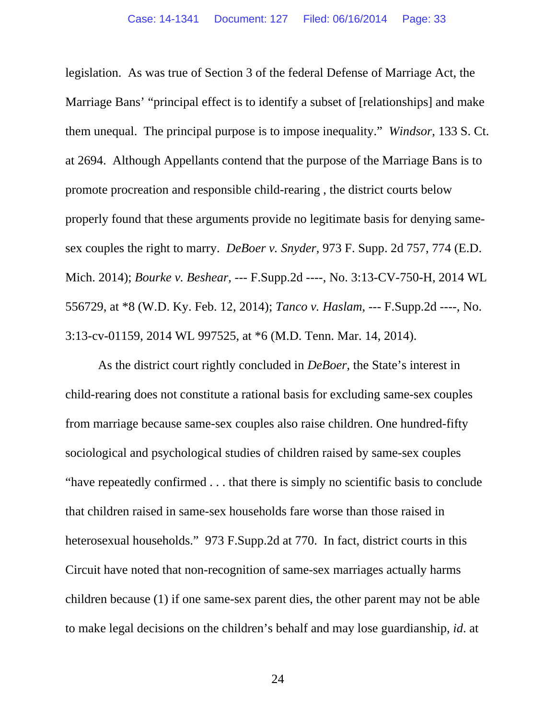legislation. As was true of Section 3 of the federal Defense of Marriage Act, the Marriage Bans' "principal effect is to identify a subset of [relationships] and make them unequal. The principal purpose is to impose inequality." *Windsor*, 133 S. Ct. at 2694. Although Appellants contend that the purpose of the Marriage Bans is to promote procreation and responsible child-rearing , the district courts below properly found that these arguments provide no legitimate basis for denying samesex couples the right to marry. *DeBoer v. Snyder*, 973 F. Supp. 2d 757, 774 (E.D. Mich. 2014); *Bourke v. Beshear*, --- F.Supp.2d ----, No. 3:13-CV-750-H, 2014 WL 556729, at \*8 (W.D. Ky. Feb. 12, 2014); *Tanco v. Haslam*, --- F.Supp.2d ----, No. 3:13-cv-01159, 2014 WL 997525, at \*6 (M.D. Tenn. Mar. 14, 2014).

As the district court rightly concluded in *DeBoer*, the State's interest in child-rearing does not constitute a rational basis for excluding same-sex couples from marriage because same-sex couples also raise children. One hundred-fifty sociological and psychological studies of children raised by same-sex couples "have repeatedly confirmed . . . that there is simply no scientific basis to conclude that children raised in same-sex households fare worse than those raised in heterosexual households." 973 F.Supp.2d at 770. In fact, district courts in this Circuit have noted that non-recognition of same-sex marriages actually harms children because (1) if one same-sex parent dies, the other parent may not be able to make legal decisions on the children's behalf and may lose guardianship, *id*. at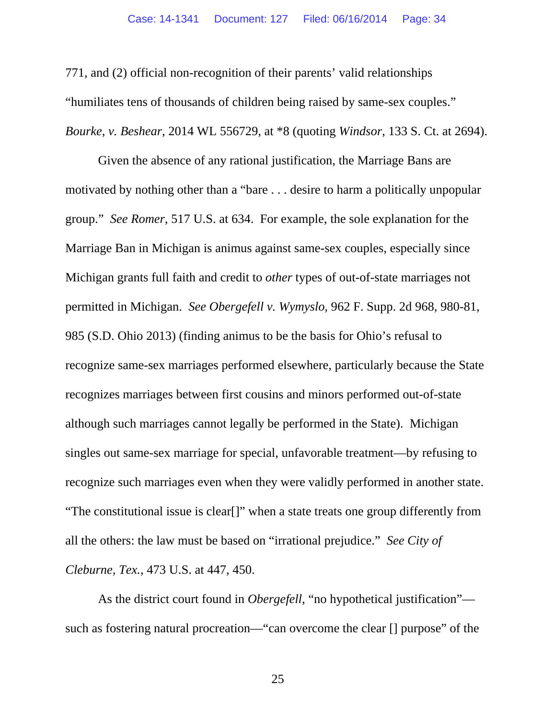771, and (2) official non-recognition of their parents' valid relationships "humiliates tens of thousands of children being raised by same-sex couples." *Bourke*, *v. Beshear*, 2014 WL 556729, at \*8 (quoting *Windsor*, 133 S. Ct. at 2694).

Given the absence of any rational justification, the Marriage Bans are motivated by nothing other than a "bare . . . desire to harm a politically unpopular group." *See Romer*, 517 U.S. at 634. For example, the sole explanation for the Marriage Ban in Michigan is animus against same-sex couples, especially since Michigan grants full faith and credit to *other* types of out-of-state marriages not permitted in Michigan. *See Obergefell v. Wymyslo*, 962 F. Supp. 2d 968, 980-81, 985 (S.D. Ohio 2013) (finding animus to be the basis for Ohio's refusal to recognize same-sex marriages performed elsewhere, particularly because the State recognizes marriages between first cousins and minors performed out-of-state although such marriages cannot legally be performed in the State). Michigan singles out same-sex marriage for special, unfavorable treatment—by refusing to recognize such marriages even when they were validly performed in another state. "The constitutional issue is clear[]" when a state treats one group differently from all the others: the law must be based on "irrational prejudice." *See City of Cleburne, Tex.*, 473 U.S. at 447, 450.

As the district court found in *Obergefell*, "no hypothetical justification" such as fostering natural procreation—"can overcome the clear [] purpose" of the

25 and 25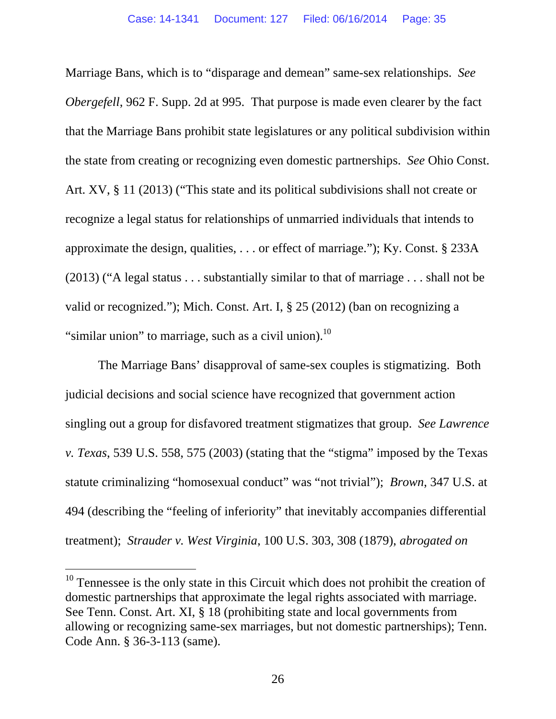Marriage Bans, which is to "disparage and demean" same-sex relationships. *See Obergefell*, 962 F. Supp. 2d at 995. That purpose is made even clearer by the fact that the Marriage Bans prohibit state legislatures or any political subdivision within the state from creating or recognizing even domestic partnerships. *See* Ohio Const. Art. XV, § 11 (2013) ("This state and its political subdivisions shall not create or recognize a legal status for relationships of unmarried individuals that intends to approximate the design, qualities, . . . or effect of marriage."); Ky. Const. § 233A (2013) ("A legal status . . . substantially similar to that of marriage . . . shall not be valid or recognized."); Mich. Const. Art. I, § 25 (2012) (ban on recognizing a "similar union" to marriage, such as a civil union). $^{10}$ 

The Marriage Bans' disapproval of same-sex couples is stigmatizing. Both judicial decisions and social science have recognized that government action singling out a group for disfavored treatment stigmatizes that group. *See Lawrence v. Texas*, 539 U.S. 558, 575 (2003) (stating that the "stigma" imposed by the Texas statute criminalizing "homosexual conduct" was "not trivial"); *Brown*, 347 U.S. at 494 (describing the "feeling of inferiority" that inevitably accompanies differential treatment); *Strauder v. West Virginia*, 100 U.S. 303, 308 (1879), *abrogated on* 

l

 $10$  Tennessee is the only state in this Circuit which does not prohibit the creation of domestic partnerships that approximate the legal rights associated with marriage. See Tenn. Const. Art. XI, § 18 (prohibiting state and local governments from allowing or recognizing same-sex marriages, but not domestic partnerships); Tenn. Code Ann. § 36-3-113 (same).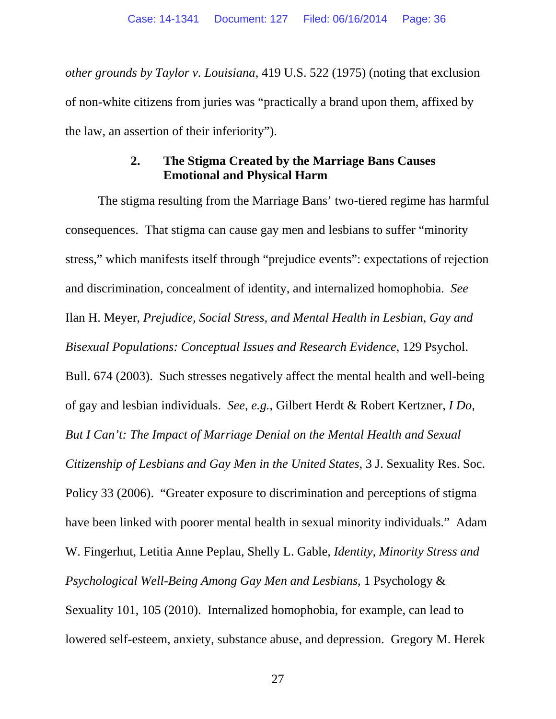*other grounds by Taylor v. Louisiana*, 419 U.S. 522 (1975) (noting that exclusion of non-white citizens from juries was "practically a brand upon them, affixed by the law, an assertion of their inferiority").

## **2. The Stigma Created by the Marriage Bans Causes Emotional and Physical Harm**

The stigma resulting from the Marriage Bans' two-tiered regime has harmful consequences. That stigma can cause gay men and lesbians to suffer "minority stress," which manifests itself through "prejudice events": expectations of rejection and discrimination, concealment of identity, and internalized homophobia. *See* Ilan H. Meyer, *Prejudice, Social Stress, and Mental Health in Lesbian, Gay and Bisexual Populations: Conceptual Issues and Research Evidence*, 129 Psychol. Bull. 674 (2003). Such stresses negatively affect the mental health and well-being of gay and lesbian individuals. *See, e.g.*, Gilbert Herdt & Robert Kertzner, *I Do, But I Can't: The Impact of Marriage Denial on the Mental Health and Sexual Citizenship of Lesbians and Gay Men in the United States*, 3 J. Sexuality Res. Soc. Policy 33 (2006). "Greater exposure to discrimination and perceptions of stigma have been linked with poorer mental health in sexual minority individuals." Adam W. Fingerhut, Letitia Anne Peplau, Shelly L. Gable, *Identity, Minority Stress and Psychological Well-Being Among Gay Men and Lesbians*, 1 Psychology & Sexuality 101, 105 (2010). Internalized homophobia, for example, can lead to lowered self-esteem, anxiety, substance abuse, and depression. Gregory M. Herek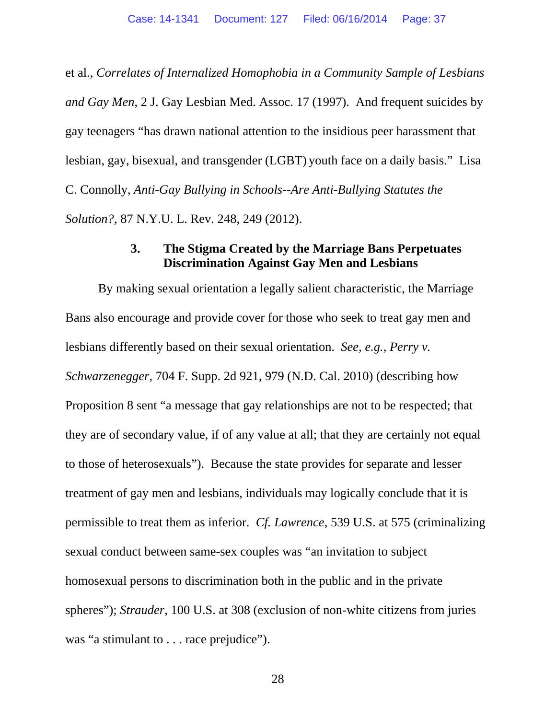et al., *Correlates of Internalized Homophobia in a Community Sample of Lesbians and Gay Men*, 2 J. Gay Lesbian Med. Assoc. 17 (1997). And frequent suicides by gay teenagers "has drawn national attention to the insidious peer harassment that lesbian, gay, bisexual, and transgender (LGBT) youth face on a daily basis." Lisa C. Connolly, *Anti-Gay Bullying in Schools--Are Anti-Bullying Statutes the Solution?*, 87 N.Y.U. L. Rev. 248, 249 (2012).

### **3. The Stigma Created by the Marriage Bans Perpetuates Discrimination Against Gay Men and Lesbians**

By making sexual orientation a legally salient characteristic, the Marriage Bans also encourage and provide cover for those who seek to treat gay men and lesbians differently based on their sexual orientation. *See, e.g.*, *Perry v. Schwarzenegger*, 704 F. Supp. 2d 921, 979 (N.D. Cal. 2010) (describing how Proposition 8 sent "a message that gay relationships are not to be respected; that they are of secondary value, if of any value at all; that they are certainly not equal to those of heterosexuals"). Because the state provides for separate and lesser treatment of gay men and lesbians, individuals may logically conclude that it is permissible to treat them as inferior. *Cf. Lawrence*, 539 U.S. at 575 (criminalizing sexual conduct between same-sex couples was "an invitation to subject homosexual persons to discrimination both in the public and in the private spheres"); *Strauder*, 100 U.S. at 308 (exclusion of non-white citizens from juries was "a stimulant to . . . race prejudice").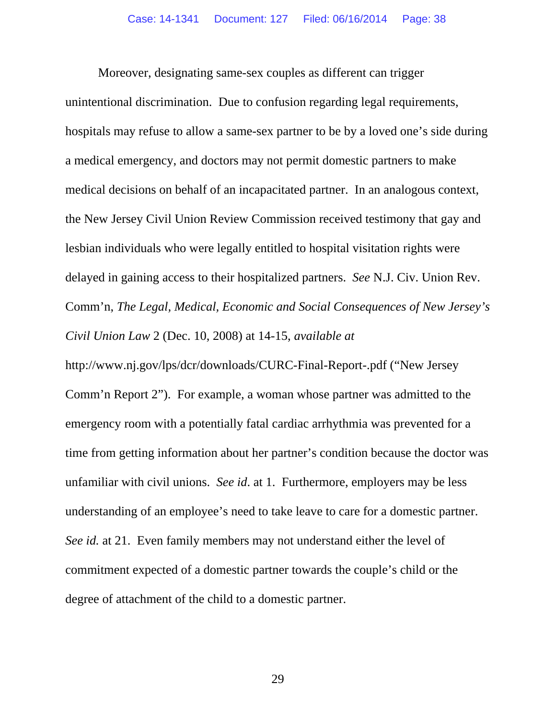Moreover, designating same-sex couples as different can trigger unintentional discrimination. Due to confusion regarding legal requirements, hospitals may refuse to allow a same-sex partner to be by a loved one's side during a medical emergency, and doctors may not permit domestic partners to make medical decisions on behalf of an incapacitated partner. In an analogous context, the New Jersey Civil Union Review Commission received testimony that gay and lesbian individuals who were legally entitled to hospital visitation rights were delayed in gaining access to their hospitalized partners. *See* N.J. Civ. Union Rev. Comm'n, *The Legal, Medical, Economic and Social Consequences of New Jersey's Civil Union Law* 2 (Dec. 10, 2008) at 14-15, *available at*

http://www.nj.gov/lps/dcr/downloads/CURC-Final-Report-.pdf ("New Jersey Comm'n Report 2"). For example, a woman whose partner was admitted to the emergency room with a potentially fatal cardiac arrhythmia was prevented for a time from getting information about her partner's condition because the doctor was unfamiliar with civil unions. *See id*. at 1. Furthermore, employers may be less understanding of an employee's need to take leave to care for a domestic partner. *See id.* at 21. Even family members may not understand either the level of commitment expected of a domestic partner towards the couple's child or the degree of attachment of the child to a domestic partner.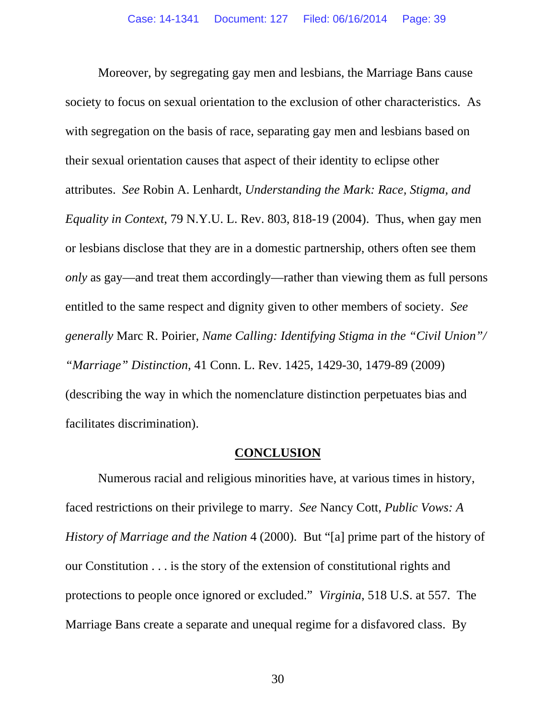Moreover, by segregating gay men and lesbians, the Marriage Bans cause society to focus on sexual orientation to the exclusion of other characteristics. As with segregation on the basis of race, separating gay men and lesbians based on their sexual orientation causes that aspect of their identity to eclipse other attributes. *See* Robin A. Lenhardt, *Understanding the Mark: Race, Stigma, and Equality in Context*, 79 N.Y.U. L. Rev. 803, 818-19 (2004). Thus, when gay men or lesbians disclose that they are in a domestic partnership, others often see them *only* as gay—and treat them accordingly—rather than viewing them as full persons entitled to the same respect and dignity given to other members of society. *See generally* Marc R. Poirier, *Name Calling: Identifying Stigma in the "Civil Union"/ "Marriage" Distinction*, 41 Conn. L. Rev. 1425, 1429-30, 1479-89 (2009) (describing the way in which the nomenclature distinction perpetuates bias and facilitates discrimination).

#### **CONCLUSION**

Numerous racial and religious minorities have, at various times in history, faced restrictions on their privilege to marry. *See* Nancy Cott, *Public Vows: A History of Marriage and the Nation* 4 (2000). But "[a] prime part of the history of our Constitution . . . is the story of the extension of constitutional rights and protections to people once ignored or excluded." *Virginia*, 518 U.S. at 557. The Marriage Bans create a separate and unequal regime for a disfavored class. By

30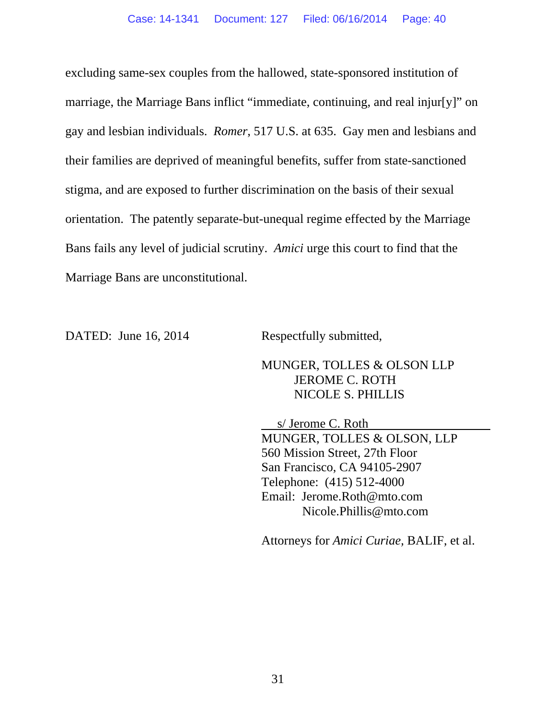excluding same-sex couples from the hallowed, state-sponsored institution of marriage, the Marriage Bans inflict "immediate, continuing, and real injur[y]" on gay and lesbian individuals. *Romer*, 517 U.S. at 635. Gay men and lesbians and their families are deprived of meaningful benefits, suffer from state-sanctioned stigma, and are exposed to further discrimination on the basis of their sexual orientation. The patently separate-but-unequal regime effected by the Marriage Bans fails any level of judicial scrutiny. *Amici* urge this court to find that the Marriage Bans are unconstitutional.

DATED: June 16, 2014 Respectfully submitted,

MUNGER, TOLLES & OLSON LLP JEROME C. ROTH NICOLE S. PHILLIS

 s/ Jerome C. Roth MUNGER, TOLLES & OLSON, LLP 560 Mission Street, 27th Floor San Francisco, CA 94105-2907 Telephone: (415) 512-4000 Email: Jerome.Roth@mto.com Nicole.Phillis@mto.com

Attorneys for *Amici Curiae,* BALIF, et al.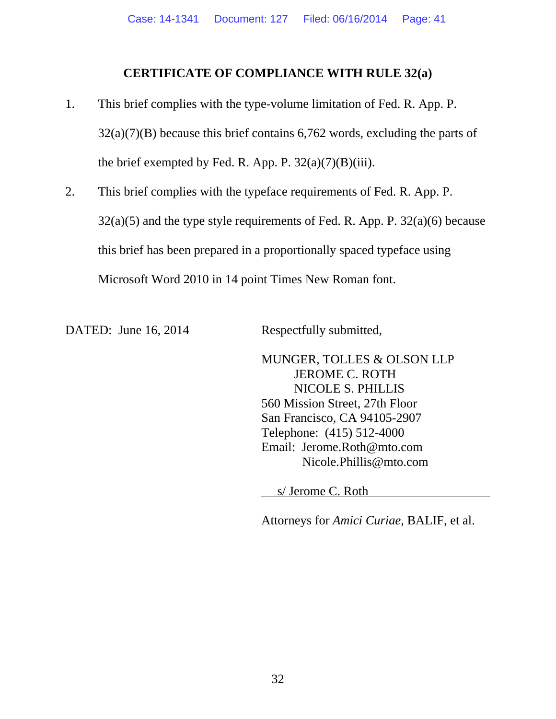### **CERTIFICATE OF COMPLIANCE WITH RULE 32(a)**

- 1. This brief complies with the type-volume limitation of Fed. R. App. P.  $32(a)(7)(B)$  because this brief contains 6,762 words, excluding the parts of the brief exempted by Fed. R. App. P.  $32(a)(7)(B)(iii)$ .
- 2. This brief complies with the typeface requirements of Fed. R. App. P.  $32(a)(5)$  and the type style requirements of Fed. R. App. P.  $32(a)(6)$  because this brief has been prepared in a proportionally spaced typeface using Microsoft Word 2010 in 14 point Times New Roman font.

DATED: June 16, 2014 Respectfully submitted,

MUNGER, TOLLES & OLSON LLP JEROME C. ROTH NICOLE S. PHILLIS 560 Mission Street, 27th Floor San Francisco, CA 94105-2907 Telephone: (415) 512-4000 Email: Jerome.Roth@mto.com Nicole.Phillis@mto.com

s/ Jerome C. Roth

Attorneys for *Amici Curiae,* BALIF, et al.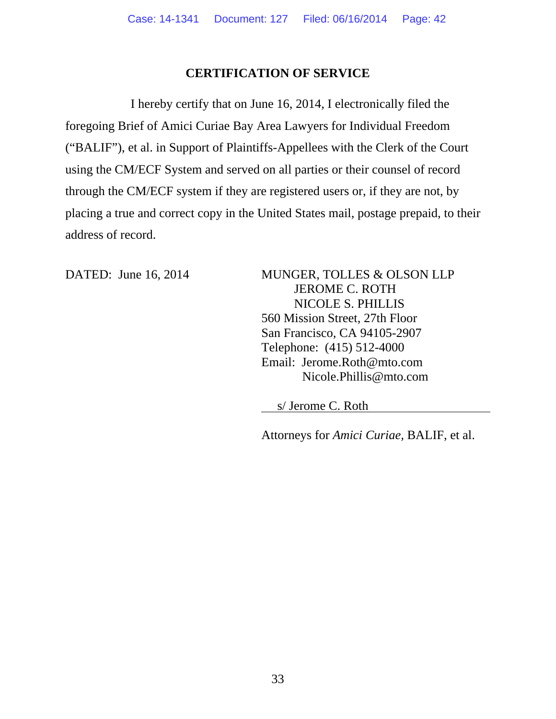## **CERTIFICATION OF SERVICE**

I hereby certify that on June 16, 2014, I electronically filed the foregoing Brief of Amici Curiae Bay Area Lawyers for Individual Freedom ("BALIF"), et al. in Support of Plaintiffs-Appellees with the Clerk of the Court using the CM/ECF System and served on all parties or their counsel of record through the CM/ECF system if they are registered users or, if they are not, by placing a true and correct copy in the United States mail, postage prepaid, to their address of record.

DATED: June 16, 2014 MUNGER, TOLLES & OLSON LLP JEROME C. ROTH NICOLE S. PHILLIS 560 Mission Street, 27th Floor San Francisco, CA 94105-2907 Telephone: (415) 512-4000 Email: Jerome.Roth@mto.com Nicole.Phillis@mto.com

s/ Jerome C. Roth

Attorneys for *Amici Curiae,* BALIF, et al.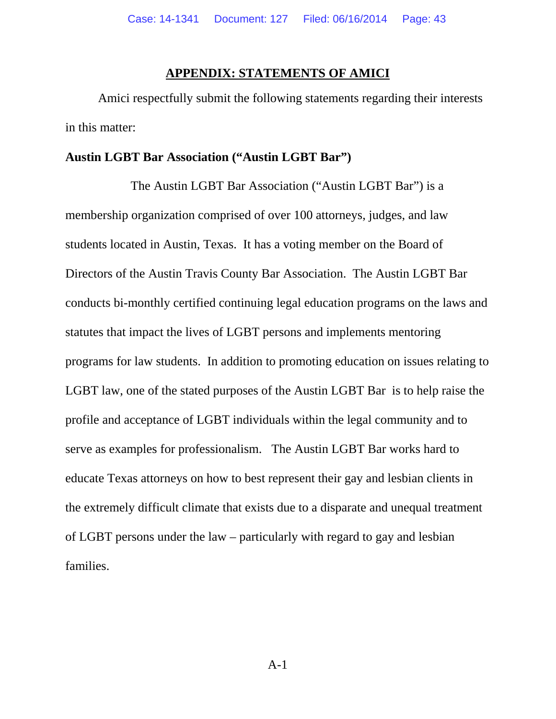#### **APPENDIX: STATEMENTS OF AMICI**

Amici respectfully submit the following statements regarding their interests in this matter:

#### **Austin LGBT Bar Association ("Austin LGBT Bar")**

The Austin LGBT Bar Association ("Austin LGBT Bar") is a membership organization comprised of over 100 attorneys, judges, and law students located in Austin, Texas. It has a voting member on the Board of Directors of the Austin Travis County Bar Association. The Austin LGBT Bar conducts bi-monthly certified continuing legal education programs on the laws and statutes that impact the lives of LGBT persons and implements mentoring programs for law students. In addition to promoting education on issues relating to LGBT law, one of the stated purposes of the Austin LGBT Bar is to help raise the profile and acceptance of LGBT individuals within the legal community and to serve as examples for professionalism. The Austin LGBT Bar works hard to educate Texas attorneys on how to best represent their gay and lesbian clients in the extremely difficult climate that exists due to a disparate and unequal treatment of LGBT persons under the law – particularly with regard to gay and lesbian families.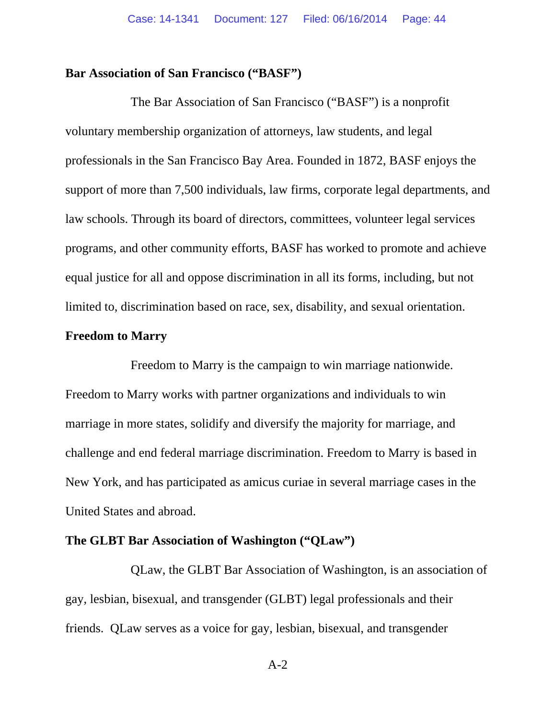### **Bar Association of San Francisco ("BASF")**

The Bar Association of San Francisco ("BASF") is a nonprofit voluntary membership organization of attorneys, law students, and legal professionals in the San Francisco Bay Area. Founded in 1872, BASF enjoys the support of more than 7,500 individuals, law firms, corporate legal departments, and law schools. Through its board of directors, committees, volunteer legal services programs, and other community efforts, BASF has worked to promote and achieve equal justice for all and oppose discrimination in all its forms, including, but not limited to, discrimination based on race, sex, disability, and sexual orientation.

#### **Freedom to Marry**

Freedom to Marry is the campaign to win marriage nationwide. Freedom to Marry works with partner organizations and individuals to win marriage in more states, solidify and diversify the majority for marriage, and challenge and end federal marriage discrimination. Freedom to Marry is based in New York, and has participated as amicus curiae in several marriage cases in the United States and abroad.

#### **The GLBT Bar Association of Washington ("QLaw")**

QLaw, the GLBT Bar Association of Washington, is an association of gay, lesbian, bisexual, and transgender (GLBT) legal professionals and their friends. QLaw serves as a voice for gay, lesbian, bisexual, and transgender

A-2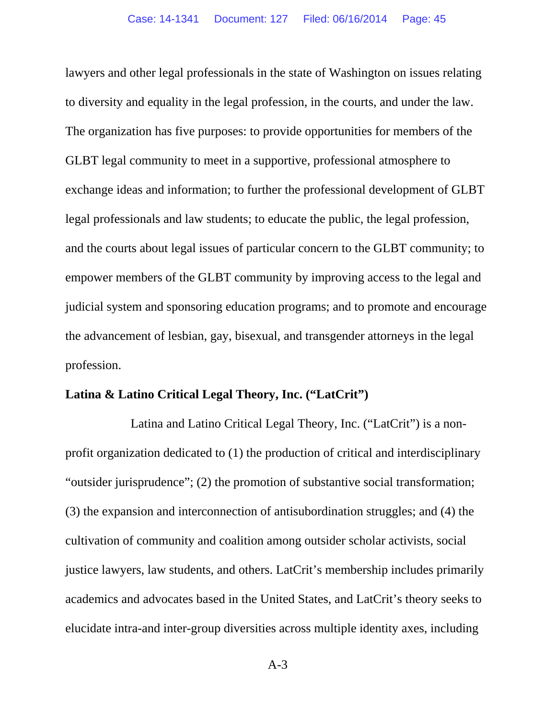lawyers and other legal professionals in the state of Washington on issues relating to diversity and equality in the legal profession, in the courts, and under the law. The organization has five purposes: to provide opportunities for members of the GLBT legal community to meet in a supportive, professional atmosphere to exchange ideas and information; to further the professional development of GLBT legal professionals and law students; to educate the public, the legal profession, and the courts about legal issues of particular concern to the GLBT community; to empower members of the GLBT community by improving access to the legal and judicial system and sponsoring education programs; and to promote and encourage the advancement of lesbian, gay, bisexual, and transgender attorneys in the legal profession.

#### **Latina & Latino Critical Legal Theory, Inc. ("LatCrit")**

Latina and Latino Critical Legal Theory, Inc. ("LatCrit") is a nonprofit organization dedicated to (1) the production of critical and interdisciplinary "outsider jurisprudence"; (2) the promotion of substantive social transformation; (3) the expansion and interconnection of antisubordination struggles; and (4) the cultivation of community and coalition among outsider scholar activists, social justice lawyers, law students, and others. LatCrit's membership includes primarily academics and advocates based in the United States, and LatCrit's theory seeks to elucidate intra-and inter-group diversities across multiple identity axes, including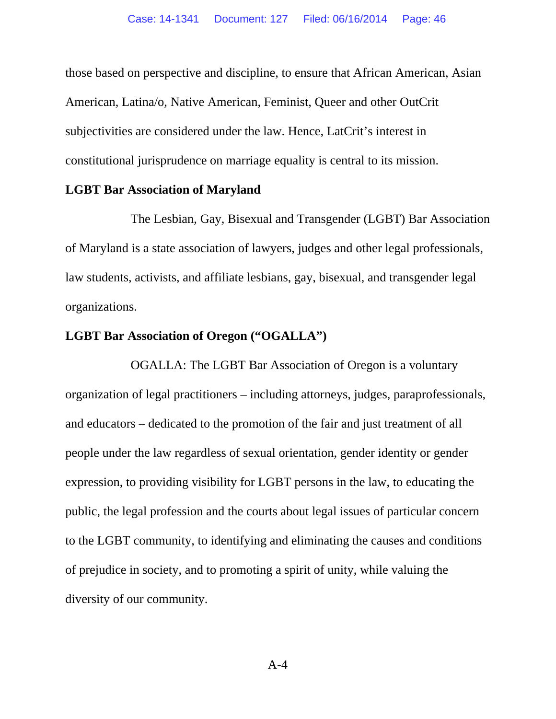those based on perspective and discipline, to ensure that African American, Asian American, Latina/o, Native American, Feminist, Queer and other OutCrit subjectivities are considered under the law. Hence, LatCrit's interest in constitutional jurisprudence on marriage equality is central to its mission.

#### **LGBT Bar Association of Maryland**

The Lesbian, Gay, Bisexual and Transgender (LGBT) Bar Association of Maryland is a state association of lawyers, judges and other legal professionals, law students, activists, and affiliate lesbians, gay, bisexual, and transgender legal organizations.

## **LGBT Bar Association of Oregon ("OGALLA")**

OGALLA: The LGBT Bar Association of Oregon is a voluntary organization of legal practitioners – including attorneys, judges, paraprofessionals, and educators – dedicated to the promotion of the fair and just treatment of all people under the law regardless of sexual orientation, gender identity or gender expression, to providing visibility for LGBT persons in the law, to educating the public, the legal profession and the courts about legal issues of particular concern to the LGBT community, to identifying and eliminating the causes and conditions of prejudice in society, and to promoting a spirit of unity, while valuing the diversity of our community.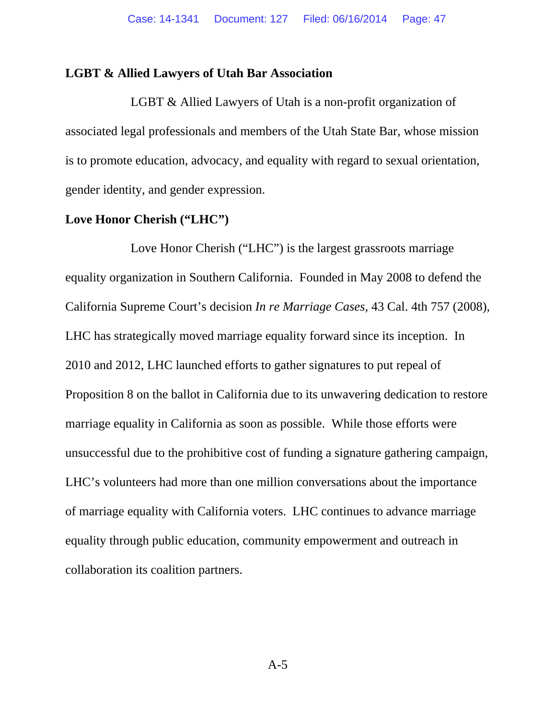#### **LGBT & Allied Lawyers of Utah Bar Association**

LGBT & Allied Lawyers of Utah is a non-profit organization of associated legal professionals and members of the Utah State Bar, whose mission is to promote education, advocacy, and equality with regard to sexual orientation, gender identity, and gender expression.

#### **Love Honor Cherish ("LHC")**

Love Honor Cherish ("LHC") is the largest grassroots marriage equality organization in Southern California. Founded in May 2008 to defend the California Supreme Court's decision *In re Marriage Cases*, 43 Cal. 4th 757 (2008), LHC has strategically moved marriage equality forward since its inception. In 2010 and 2012, LHC launched efforts to gather signatures to put repeal of Proposition 8 on the ballot in California due to its unwavering dedication to restore marriage equality in California as soon as possible. While those efforts were unsuccessful due to the prohibitive cost of funding a signature gathering campaign, LHC's volunteers had more than one million conversations about the importance of marriage equality with California voters. LHC continues to advance marriage equality through public education, community empowerment and outreach in collaboration its coalition partners.

A-5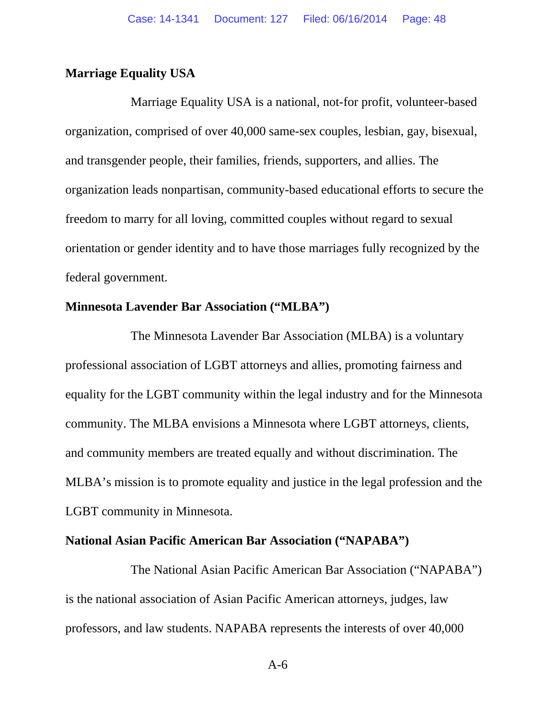### **Marriage Equality USA**

Marriage Equality USA is a national, not-for profit, volunteer-based organization, comprised of over 40,000 same-sex couples, lesbian, gay, bisexual, and transgender people, their families, friends, supporters, and allies. The organization leads nonpartisan, community-based educational efforts to secure the freedom to marry for all loving, committed couples without regard to sexual orientation or gender identity and to have those marriages fully recognized by the federal government.

#### **Minnesota Lavender Bar Association ("MLBA")**

The Minnesota Lavender Bar Association (MLBA) is a voluntary professional association of LGBT attorneys and allies, promoting fairness and equality for the LGBT community within the legal industry and for the Minnesota community. The MLBA envisions a Minnesota where LGBT attorneys, clients, and community members are treated equally and without discrimination. The MLBA's mission is to promote equality and justice in the legal profession and the LGBT community in Minnesota.

#### **National Asian Pacific American Bar Association ("NAPABA")**

The National Asian Pacific American Bar Association ("NAPABA") is the national association of Asian Pacific American attorneys, judges, law professors, and law students. NAPABA represents the interests of over 40,000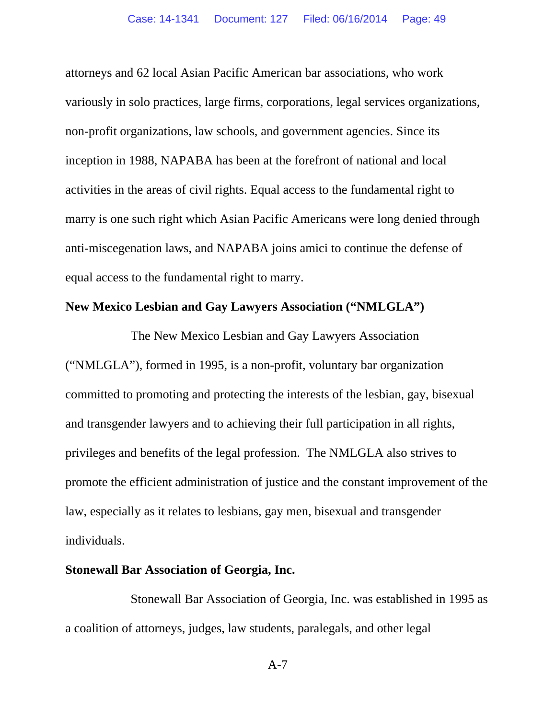attorneys and 62 local Asian Pacific American bar associations, who work variously in solo practices, large firms, corporations, legal services organizations, non-profit organizations, law schools, and government agencies. Since its inception in 1988, NAPABA has been at the forefront of national and local activities in the areas of civil rights. Equal access to the fundamental right to marry is one such right which Asian Pacific Americans were long denied through anti-miscegenation laws, and NAPABA joins amici to continue the defense of equal access to the fundamental right to marry.

## **New Mexico Lesbian and Gay Lawyers Association ("NMLGLA")**

The New Mexico Lesbian and Gay Lawyers Association ("NMLGLA"), formed in 1995, is a non-profit, voluntary bar organization committed to promoting and protecting the interests of the lesbian, gay, bisexual and transgender lawyers and to achieving their full participation in all rights, privileges and benefits of the legal profession. The NMLGLA also strives to promote the efficient administration of justice and the constant improvement of the law, especially as it relates to lesbians, gay men, bisexual and transgender individuals.

#### **Stonewall Bar Association of Georgia, Inc.**

Stonewall Bar Association of Georgia, Inc. was established in 1995 as a coalition of attorneys, judges, law students, paralegals, and other legal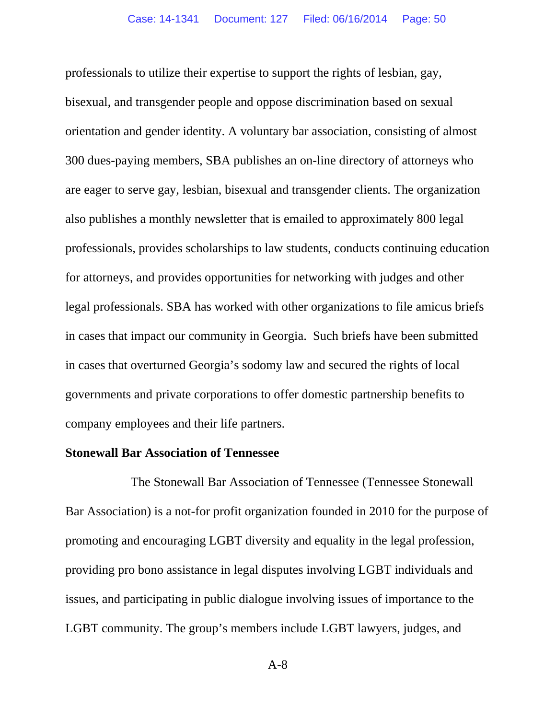professionals to utilize their expertise to support the rights of lesbian, gay, bisexual, and transgender people and oppose discrimination based on sexual orientation and gender identity. A voluntary bar association, consisting of almost 300 dues-paying members, SBA publishes an on-line directory of attorneys who are eager to serve gay, lesbian, bisexual and transgender clients. The organization also publishes a monthly newsletter that is emailed to approximately 800 legal professionals, provides scholarships to law students, conducts continuing education for attorneys, and provides opportunities for networking with judges and other legal professionals. SBA has worked with other organizations to file amicus briefs in cases that impact our community in Georgia. Such briefs have been submitted in cases that overturned Georgia's sodomy law and secured the rights of local governments and private corporations to offer domestic partnership benefits to company employees and their life partners.

#### **Stonewall Bar Association of Tennessee**

The Stonewall Bar Association of Tennessee (Tennessee Stonewall Bar Association) is a not-for profit organization founded in 2010 for the purpose of promoting and encouraging LGBT diversity and equality in the legal profession, providing pro bono assistance in legal disputes involving LGBT individuals and issues, and participating in public dialogue involving issues of importance to the LGBT community. The group's members include LGBT lawyers, judges, and

A-8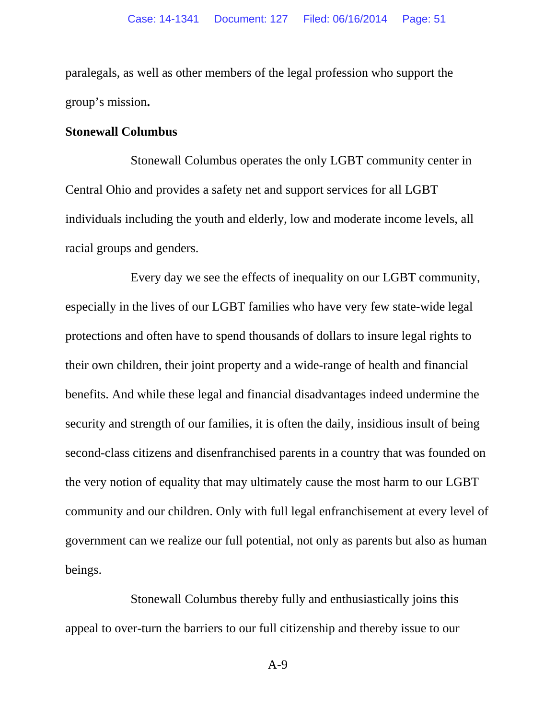paralegals, as well as other members of the legal profession who support the group's mission**.** 

#### **Stonewall Columbus**

Stonewall Columbus operates the only LGBT community center in Central Ohio and provides a safety net and support services for all LGBT individuals including the youth and elderly, low and moderate income levels, all racial groups and genders.

Every day we see the effects of inequality on our LGBT community, especially in the lives of our LGBT families who have very few state-wide legal protections and often have to spend thousands of dollars to insure legal rights to their own children, their joint property and a wide-range of health and financial benefits. And while these legal and financial disadvantages indeed undermine the security and strength of our families, it is often the daily, insidious insult of being second-class citizens and disenfranchised parents in a country that was founded on the very notion of equality that may ultimately cause the most harm to our LGBT community and our children. Only with full legal enfranchisement at every level of government can we realize our full potential, not only as parents but also as human beings.

Stonewall Columbus thereby fully and enthusiastically joins this appeal to over-turn the barriers to our full citizenship and thereby issue to our

A-9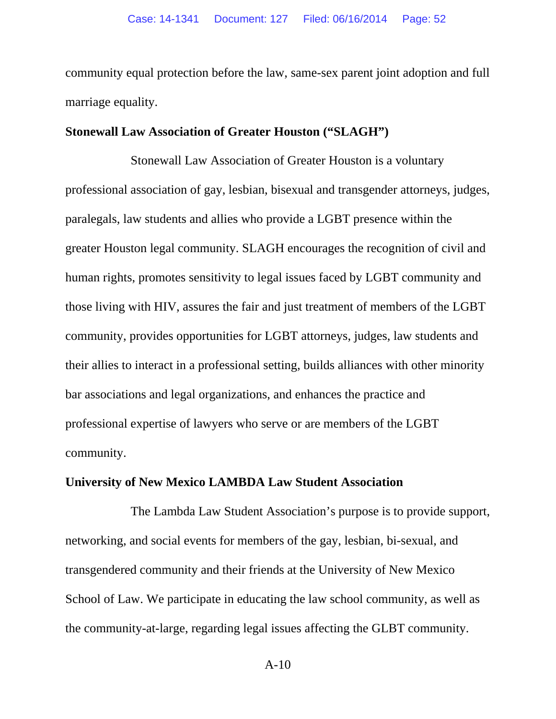community equal protection before the law, same-sex parent joint adoption and full marriage equality.

#### **Stonewall Law Association of Greater Houston ("SLAGH")**

Stonewall Law Association of Greater Houston is a voluntary professional association of gay, lesbian, bisexual and transgender attorneys, judges, paralegals, law students and allies who provide a LGBT presence within the greater Houston legal community. SLAGH encourages the recognition of civil and human rights, promotes sensitivity to legal issues faced by LGBT community and those living with HIV, assures the fair and just treatment of members of the LGBT community, provides opportunities for LGBT attorneys, judges, law students and their allies to interact in a professional setting, builds alliances with other minority bar associations and legal organizations, and enhances the practice and professional expertise of lawyers who serve or are members of the LGBT community.

#### **University of New Mexico LAMBDA Law Student Association**

The Lambda Law Student Association's purpose is to provide support, networking, and social events for members of the gay, lesbian, bi-sexual, and transgendered community and their friends at the University of New Mexico School of Law. We participate in educating the law school community, as well as the community-at-large, regarding legal issues affecting the GLBT community.